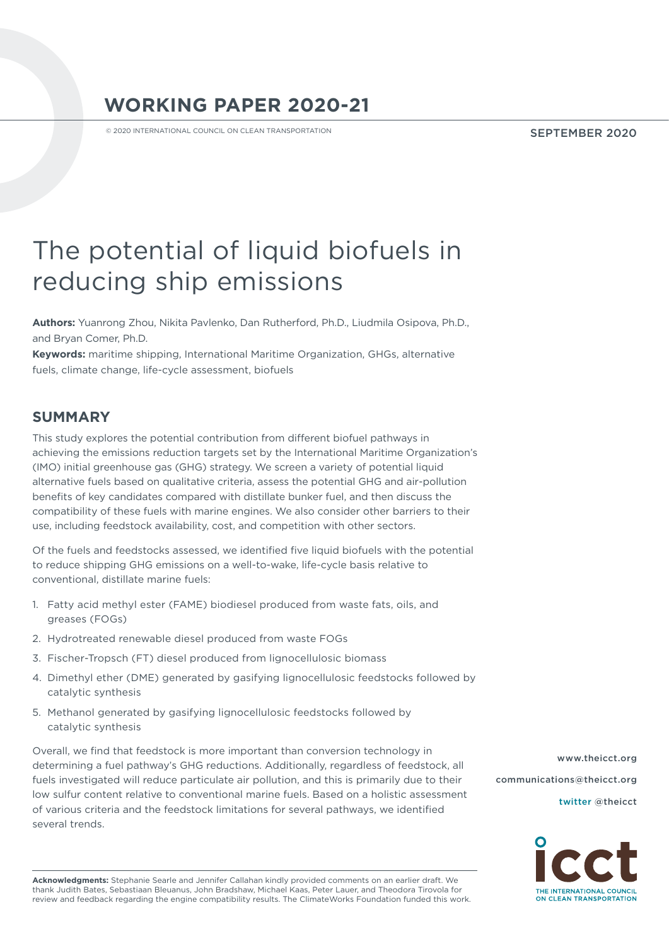# **WORKING PAPER 2020-21**

© 2020 INTERNATIONAL COUNCIL ON CLEAN TRANSPORTATION

SEPTEMBER 2020

# The potential of liquid biofuels in reducing ship emissions

**Authors:** Yuanrong Zhou, Nikita Pavlenko, Dan Rutherford, Ph.D., Liudmila Osipova, Ph.D., and Bryan Comer, Ph.D.

**Keywords:** maritime shipping, International Maritime Organization, GHGs, alternative fuels, climate change, life-cycle assessment, biofuels

# **SUMMARY**

This study explores the potential contribution from different biofuel pathways in achieving the emissions reduction targets set by the International Maritime Organization's (IMO) initial greenhouse gas (GHG) strategy. We screen a variety of potential liquid alternative fuels based on qualitative criteria, assess the potential GHG and air-pollution benefits of key candidates compared with distillate bunker fuel, and then discuss the compatibility of these fuels with marine engines. We also consider other barriers to their use, including feedstock availability, cost, and competition with other sectors.

Of the fuels and feedstocks assessed, we identified five liquid biofuels with the potential to reduce shipping GHG emissions on a well-to-wake, life-cycle basis relative to conventional, distillate marine fuels:

- 1. Fatty acid methyl ester (FAME) biodiesel produced from waste fats, oils, and greases (FOGs)
- 2. Hydrotreated renewable diesel produced from waste FOGs
- 3. Fischer-Tropsch (FT) diesel produced from lignocellulosic biomass
- 4. Dimethyl ether (DME) generated by gasifying lignocellulosic feedstocks followed by catalytic synthesis
- 5. Methanol generated by gasifying lignocellulosic feedstocks followed by catalytic synthesis

Overall, we find that feedstock is more important than conversion technology in determining a fuel pathway's GHG reductions. Additionally, regardless of feedstock, all fuels investigated will reduce particulate air pollution, and this is primarily due to their low sulfur content relative to conventional marine fuels. Based on a holistic assessment of various criteria and the feedstock limitations for several pathways, we identified several trends.

[www.theicct.org](http://www.theicct.org) [communications@theicct.org](mailto:communications%40theicct.org%20%20%20%20?subject=)  [twitter @theicct](http://twitter.com/theicct)



**Acknowledgments:** Stephanie Searle and Jennifer Callahan kindly provided comments on an earlier draft. We thank Judith Bates, Sebastiaan Bleuanus, John Bradshaw, Michael Kaas, Peter Lauer, and Theodora Tirovola for review and feedback regarding the engine compatibility results. The ClimateWorks Foundation funded this work.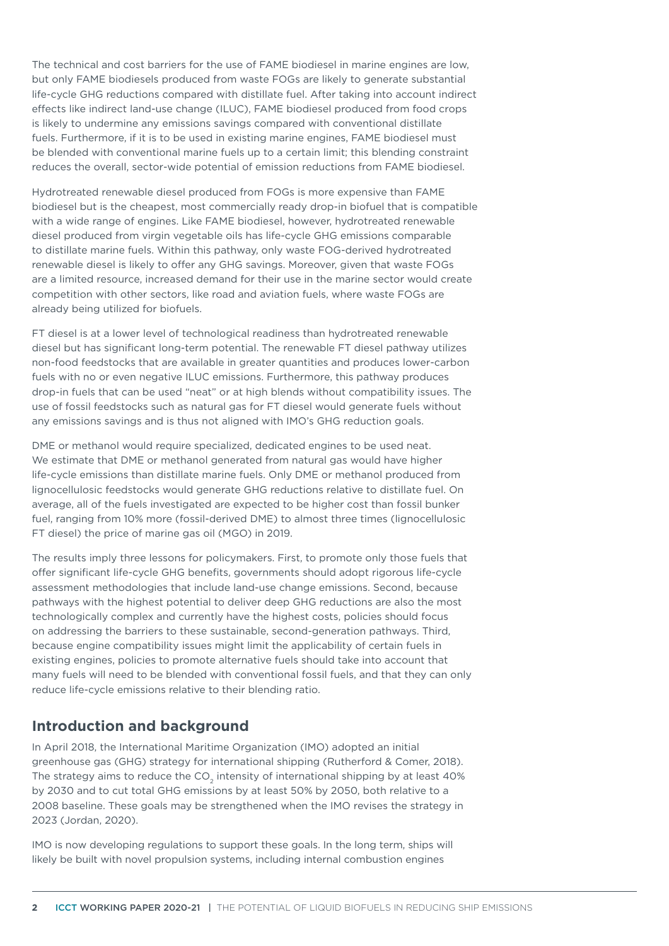The technical and cost barriers for the use of FAME biodiesel in marine engines are low, but only FAME biodiesels produced from waste FOGs are likely to generate substantial life-cycle GHG reductions compared with distillate fuel. After taking into account indirect effects like indirect land-use change (ILUC), FAME biodiesel produced from food crops is likely to undermine any emissions savings compared with conventional distillate fuels. Furthermore, if it is to be used in existing marine engines, FAME biodiesel must be blended with conventional marine fuels up to a certain limit; this blending constraint reduces the overall, sector-wide potential of emission reductions from FAME biodiesel.

Hydrotreated renewable diesel produced from FOGs is more expensive than FAME biodiesel but is the cheapest, most commercially ready drop-in biofuel that is compatible with a wide range of engines. Like FAME biodiesel, however, hydrotreated renewable diesel produced from virgin vegetable oils has life-cycle GHG emissions comparable to distillate marine fuels. Within this pathway, only waste FOG-derived hydrotreated renewable diesel is likely to offer any GHG savings. Moreover, given that waste FOGs are a limited resource, increased demand for their use in the marine sector would create competition with other sectors, like road and aviation fuels, where waste FOGs are already being utilized for biofuels.

FT diesel is at a lower level of technological readiness than hydrotreated renewable diesel but has significant long-term potential. The renewable FT diesel pathway utilizes non-food feedstocks that are available in greater quantities and produces lower-carbon fuels with no or even negative ILUC emissions. Furthermore, this pathway produces drop-in fuels that can be used "neat" or at high blends without compatibility issues. The use of fossil feedstocks such as natural gas for FT diesel would generate fuels without any emissions savings and is thus not aligned with IMO's GHG reduction goals.

DME or methanol would require specialized, dedicated engines to be used neat. We estimate that DME or methanol generated from natural gas would have higher life-cycle emissions than distillate marine fuels. Only DME or methanol produced from lignocellulosic feedstocks would generate GHG reductions relative to distillate fuel. On average, all of the fuels investigated are expected to be higher cost than fossil bunker fuel, ranging from 10% more (fossil-derived DME) to almost three times (lignocellulosic FT diesel) the price of marine gas oil (MGO) in 2019.

The results imply three lessons for policymakers. First, to promote only those fuels that offer significant life-cycle GHG benefits, governments should adopt rigorous life-cycle assessment methodologies that include land-use change emissions. Second, because pathways with the highest potential to deliver deep GHG reductions are also the most technologically complex and currently have the highest costs, policies should focus on addressing the barriers to these sustainable, second-generation pathways. Third, because engine compatibility issues might limit the applicability of certain fuels in existing engines, policies to promote alternative fuels should take into account that many fuels will need to be blended with conventional fossil fuels, and that they can only reduce life-cycle emissions relative to their blending ratio.

#### **Introduction and background**

In April 2018, the International Maritime Organization (IMO) adopted an initial greenhouse gas (GHG) strategy for international shipping (Rutherford & Comer, 2018). The strategy aims to reduce the  $CO<sub>2</sub>$  intensity of international shipping by at least 40% by 2030 and to cut total GHG emissions by at least 50% by 2050, both relative to a 2008 baseline. These goals may be strengthened when the IMO revises the strategy in 2023 (Jordan, 2020).

IMO is now developing regulations to support these goals. In the long term, ships will likely be built with novel propulsion systems, including internal combustion engines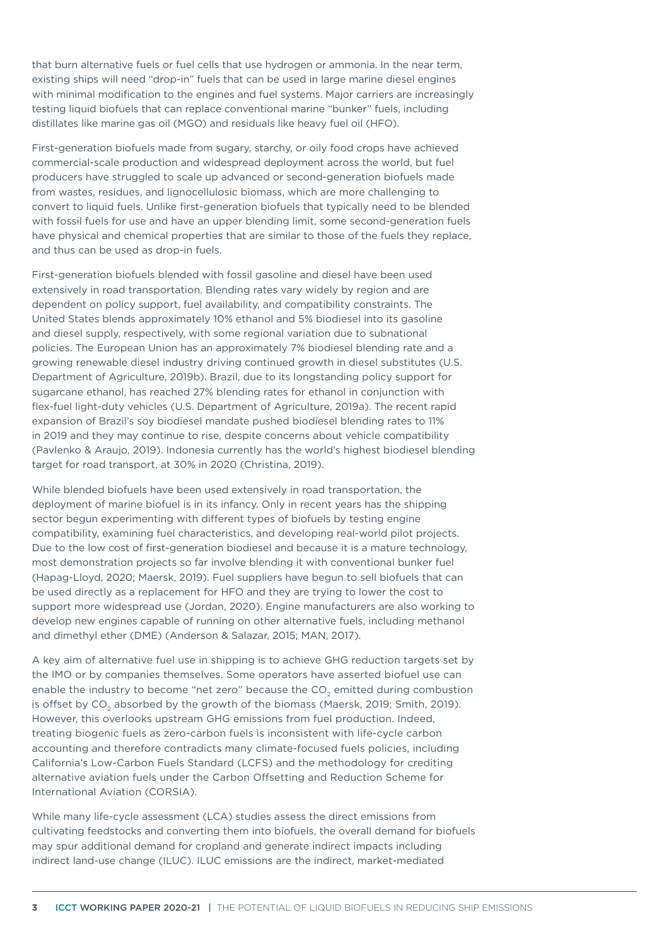that burn alternative fuels or fuel cells that use hydrogen or ammonia. In the near term, existing ships will need "drop-in" fuels that can be used in large marine diesel engines with minimal modification to the engines and fuel systems. Major carriers are increasingly testing liquid biofuels that can replace conventional marine "bunker" fuels, including distillates like marine gas oil (MGO) and residuals like heavy fuel oil (HFO).

First-generation biofuels made from sugary, starchy, or oily food crops have achieved commercial-scale production and widespread deployment across the world, but fuel producers have struggled to scale up advanced or second-generation biofuels made from wastes, residues, and lignocellulosic biomass, which are more challenging to convert to liquid fuels. Unlike first-generation biofuels that typically need to be blended with fossil fuels for use and have an upper blending limit, some second-generation fuels have physical and chemical properties that are similar to those of the fuels they replace, and thus can be used as drop-in fuels.

First-generation biofuels blended with fossil gasoline and diesel have been used extensively in road transportation. Blending rates vary widely by region and are dependent on policy support, fuel availability, and compatibility constraints. The United States blends approximately 10% ethanol and 5% biodiesel into its gasoline and diesel supply, respectively, with some regional variation due to subnational policies. The European Union has an approximately 7% biodiesel blending rate and a growing renewable diesel industry driving continued growth in diesel substitutes (U.S. Department of Agriculture, 2019b). Brazil, due to its longstanding policy support for sugarcane ethanol, has reached 27% blending rates for ethanol in conjunction with flex-fuel light-duty vehicles (U.S. Department of Agriculture, 2019a). The recent rapid expansion of Brazil's soy biodiesel mandate pushed biodiesel blending rates to 11% in 2019 and they may continue to rise, despite concerns about vehicle compatibility (Pavlenko & Araujo, 2019). Indonesia currently has the world's highest biodiesel blending target for road transport, at 30% in 2020 (Christina, 2019).

While blended biofuels have been used extensively in road transportation, the deployment of marine biofuel is in its infancy. Only in recent years has the shipping sector begun experimenting with different types of biofuels by testing engine compatibility, examining fuel characteristics, and developing real-world pilot projects. Due to the low cost of first-generation biodiesel and because it is a mature technology, most demonstration projects so far involve blending it with conventional bunker fuel (Hapag-Lloyd, 2020; Maersk, 2019). Fuel suppliers have begun to sell biofuels that can be used directly as a replacement for HFO and they are trying to lower the cost to support more widespread use (Jordan, 2020). Engine manufacturers are also working to develop new engines capable of running on other alternative fuels, including methanol and dimethyl ether (DME) (Anderson & Salazar, 2015; MAN, 2017).

A key aim of alternative fuel use in shipping is to achieve GHG reduction targets set by the IMO or by companies themselves. Some operators have asserted biofuel use can enable the industry to become "net zero" because the  $CO<sub>2</sub>$  emitted during combustion is offset by CO<sub>2</sub> absorbed by the growth of the biomass (Maersk, 2019; Smith, 2019). However, this overlooks upstream GHG emissions from fuel production. Indeed, treating biogenic fuels as zero-carbon fuels is inconsistent with life-cycle carbon accounting and therefore contradicts many climate-focused fuels policies, including California's Low-Carbon Fuels Standard (LCFS) and the methodology for crediting alternative aviation fuels under the Carbon Offsetting and Reduction Scheme for International Aviation (CORSIA).

While many life-cycle assessment (LCA) studies assess the direct emissions from cultivating feedstocks and converting them into biofuels, the overall demand for biofuels may spur additional demand for cropland and generate indirect impacts including indirect land-use change (ILUC). ILUC emissions are the indirect, market-mediated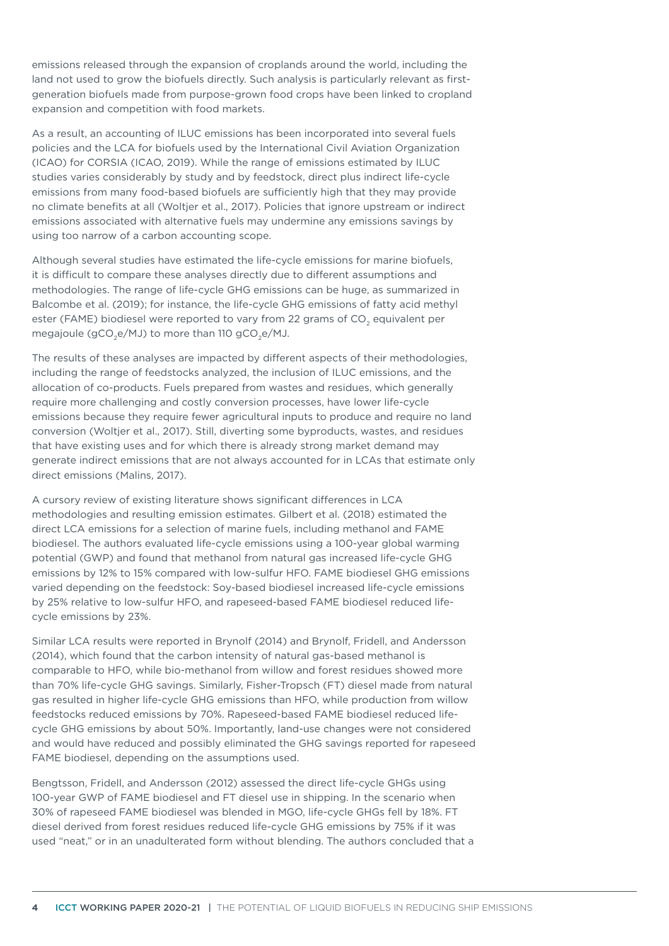emissions released through the expansion of croplands around the world, including the land not used to grow the biofuels directly. Such analysis is particularly relevant as firstgeneration biofuels made from purpose-grown food crops have been linked to cropland expansion and competition with food markets.

As a result, an accounting of ILUC emissions has been incorporated into several fuels policies and the LCA for biofuels used by the International Civil Aviation Organization (ICAO) for CORSIA (ICAO, 2019). While the range of emissions estimated by ILUC studies varies considerably by study and by feedstock, direct plus indirect life-cycle emissions from many food-based biofuels are sufficiently high that they may provide no climate benefits at all (Woltjer et al., 2017). Policies that ignore upstream or indirect emissions associated with alternative fuels may undermine any emissions savings by using too narrow of a carbon accounting scope.

Although several studies have estimated the life-cycle emissions for marine biofuels, it is difficult to compare these analyses directly due to different assumptions and methodologies. The range of life-cycle GHG emissions can be huge, as summarized in Balcombe et al. (2019); for instance, the life-cycle GHG emissions of fatty acid methyl ester (FAME) biodiesel were reported to vary from 22 grams of CO<sub>2</sub> equivalent per megajoule ( $gCO<sub>2</sub>e/MJ$ ) to more than 110  $gCO<sub>2</sub>e/MJ$ .

The results of these analyses are impacted by different aspects of their methodologies, including the range of feedstocks analyzed, the inclusion of ILUC emissions, and the allocation of co-products. Fuels prepared from wastes and residues, which generally require more challenging and costly conversion processes, have lower life-cycle emissions because they require fewer agricultural inputs to produce and require no land conversion (Woltjer et al., 2017). Still, diverting some byproducts, wastes, and residues that have existing uses and for which there is already strong market demand may generate indirect emissions that are not always accounted for in LCAs that estimate only direct emissions (Malins, 2017).

A cursory review of existing literature shows significant differences in LCA methodologies and resulting emission estimates. Gilbert et al. (2018) estimated the direct LCA emissions for a selection of marine fuels, including methanol and FAME biodiesel. The authors evaluated life-cycle emissions using a 100-year global warming potential (GWP) and found that methanol from natural gas increased life-cycle GHG emissions by 12% to 15% compared with low-sulfur HFO. FAME biodiesel GHG emissions varied depending on the feedstock: Soy-based biodiesel increased life-cycle emissions by 25% relative to low-sulfur HFO, and rapeseed-based FAME biodiesel reduced lifecycle emissions by 23%.

Similar LCA results were reported in Brynolf (2014) and Brynolf, Fridell, and Andersson (2014), which found that the carbon intensity of natural gas-based methanol is comparable to HFO, while bio-methanol from willow and forest residues showed more than 70% life-cycle GHG savings. Similarly, Fisher-Tropsch (FT) diesel made from natural gas resulted in higher life-cycle GHG emissions than HFO, while production from willow feedstocks reduced emissions by 70%. Rapeseed-based FAME biodiesel reduced lifecycle GHG emissions by about 50%. Importantly, land-use changes were not considered and would have reduced and possibly eliminated the GHG savings reported for rapeseed FAME biodiesel, depending on the assumptions used.

Bengtsson, Fridell, and Andersson (2012) assessed the direct life-cycle GHGs using 100-year GWP of FAME biodiesel and FT diesel use in shipping. In the scenario when 30% of rapeseed FAME biodiesel was blended in MGO, life-cycle GHGs fell by 18%. FT diesel derived from forest residues reduced life-cycle GHG emissions by 75% if it was used "neat," or in an unadulterated form without blending. The authors concluded that a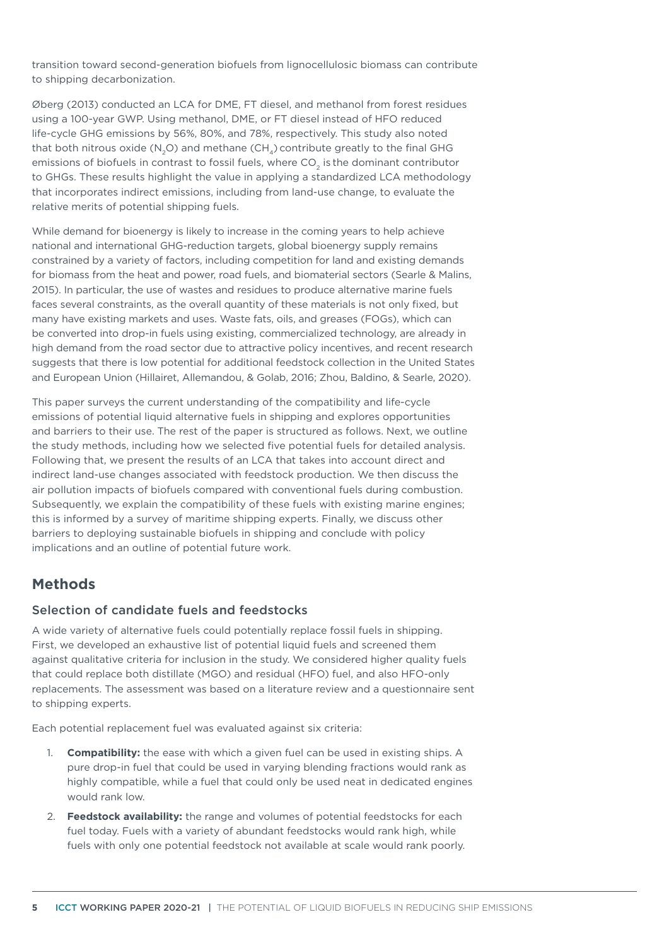transition toward second-generation biofuels from lignocellulosic biomass can contribute to shipping decarbonization.

Øberg (2013) conducted an LCA for DME, FT diesel, and methanol from forest residues using a 100-year GWP. Using methanol, DME, or FT diesel instead of HFO reduced life-cycle GHG emissions by 56%, 80%, and 78%, respectively. This study also noted that both nitrous oxide (N<sub>2</sub>O) and methane (CH<sub>4</sub>) contribute greatly to the final GHG emissions of biofuels in contrast to fossil fuels, where CO $_{\textrm{\tiny{2}}}$  is the dominant contributor to GHGs. These results highlight the value in applying a standardized LCA methodology that incorporates indirect emissions, including from land-use change, to evaluate the relative merits of potential shipping fuels.

While demand for bioenergy is likely to increase in the coming years to help achieve national and international GHG-reduction targets, global bioenergy supply remains constrained by a variety of factors, including competition for land and existing demands for biomass from the heat and power, road fuels, and biomaterial sectors (Searle & Malins, 2015). In particular, the use of wastes and residues to produce alternative marine fuels faces several constraints, as the overall quantity of these materials is not only fixed, but many have existing markets and uses. Waste fats, oils, and greases (FOGs), which can be converted into drop-in fuels using existing, commercialized technology, are already in high demand from the road sector due to attractive policy incentives, and recent research suggests that there is low potential for additional feedstock collection in the United States and European Union (Hillairet, Allemandou, & Golab, 2016; Zhou, Baldino, & Searle, 2020).

This paper surveys the current understanding of the compatibility and life-cycle emissions of potential liquid alternative fuels in shipping and explores opportunities and barriers to their use. The rest of the paper is structured as follows. Next, we outline the study methods, including how we selected five potential fuels for detailed analysis. Following that, we present the results of an LCA that takes into account direct and indirect land-use changes associated with feedstock production. We then discuss the air pollution impacts of biofuels compared with conventional fuels during combustion. Subsequently, we explain the compatibility of these fuels with existing marine engines; this is informed by a survey of maritime shipping experts. Finally, we discuss other barriers to deploying sustainable biofuels in shipping and conclude with policy implications and an outline of potential future work.

## **Methods**

#### Selection of candidate fuels and feedstocks

A wide variety of alternative fuels could potentially replace fossil fuels in shipping. First, we developed an exhaustive list of potential liquid fuels and screened them against qualitative criteria for inclusion in the study. We considered higher quality fuels that could replace both distillate (MGO) and residual (HFO) fuel, and also HFO-only replacements. The assessment was based on a literature review and a questionnaire sent to shipping experts.

Each potential replacement fuel was evaluated against six criteria:

- 1. **Compatibility:** the ease with which a given fuel can be used in existing ships. A pure drop-in fuel that could be used in varying blending fractions would rank as highly compatible, while a fuel that could only be used neat in dedicated engines would rank low.
- 2. **Feedstock availability:** the range and volumes of potential feedstocks for each fuel today. Fuels with a variety of abundant feedstocks would rank high, while fuels with only one potential feedstock not available at scale would rank poorly.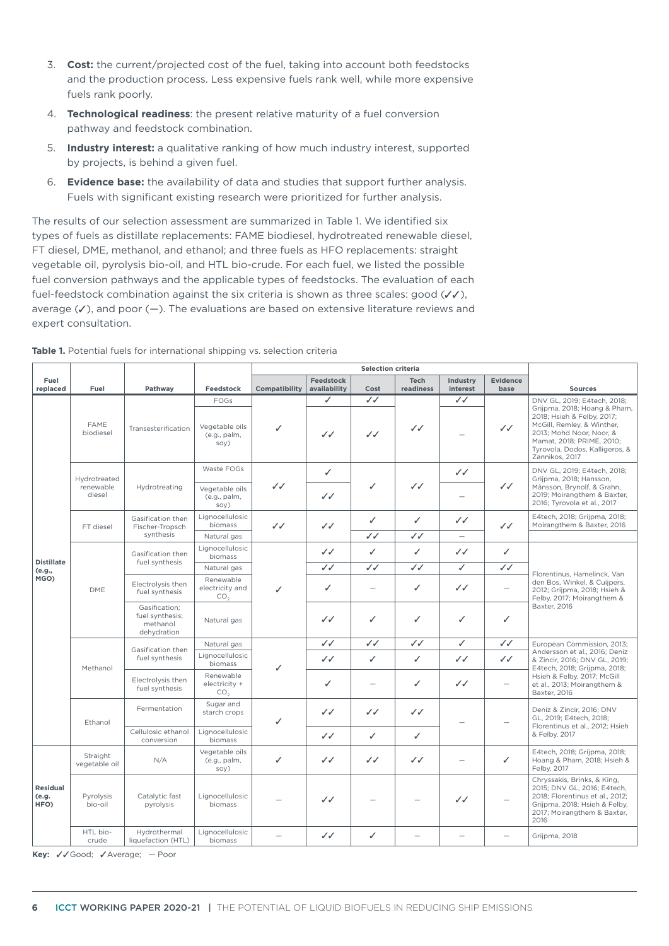- 3. **Cost:** the current/projected cost of the fuel, taking into account both feedstocks and the production process. Less expensive fuels rank well, while more expensive fuels rank poorly.
- 4. **Technological readiness**: the present relative maturity of a fuel conversion pathway and feedstock combination.
- 5. **Industry interest:** a qualitative ranking of how much industry interest, supported by projects, is behind a given fuel.
- 6. **Evidence base:** the availability of data and studies that support further analysis. Fuels with significant existing research were prioritized for further analysis.

The results of our selection assessment are summarized in Table 1. We identified six types of fuels as distillate replacements: FAME biodiesel, hydrotreated renewable diesel, FT diesel, DME, methanol, and ethanol; and three fuels as HFO replacements: straight vegetable oil, pyrolysis bio-oil, and HTL bio-crude. For each fuel, we listed the possible fuel conversion pathways and the applicable types of feedstocks. The evaluation of each fuel-feedstock combination against the six criteria is shown as three scales: good  $(\sqrt{\checkmark})$ , average  $(V)$ , and poor  $(-)$ . The evaluations are based on extensive literature reviews and expert consultation.

|                                  |                                     |                                                             |                                                      | <b>Selection criteria</b> |                           |                          |                              |                                |                          |                                                                                                                                                                                                                                      |
|----------------------------------|-------------------------------------|-------------------------------------------------------------|------------------------------------------------------|---------------------------|---------------------------|--------------------------|------------------------------|--------------------------------|--------------------------|--------------------------------------------------------------------------------------------------------------------------------------------------------------------------------------------------------------------------------------|
| Fuel<br>replaced                 | Fuel                                | Pathway                                                     | Feedstock                                            | Compatibility             | Feedstock<br>availability | Cost                     | <b>Tech</b><br>readiness     | Industry<br>interest           | <b>Evidence</b><br>base  | <b>Sources</b>                                                                                                                                                                                                                       |
|                                  | <b>FAME</b><br>biodiesel            | Transesterification                                         | FOGs<br>Vegetable oils<br>(e.g., palm,<br>SOV)       | ✓                         | ✓<br>$\checkmark$         | $\checkmark$<br>ノノ       | $\checkmark$                 | $\checkmark$                   | $\checkmark$             | DNV GL, 2019; E4tech, 2018;<br>Grijpma, 2018; Hoang & Pham,<br>2018; Hsieh & Felby, 2017;<br>McGill, Remley, & Winther,<br>2013; Mohd Noor, Noor, &<br>Mamat, 2018; PRIME, 2010;<br>Tyrovola, Dodos, Kalligeros, &<br>Zannikos, 2017 |
|                                  | Hydrotreated<br>renewable<br>diesel | Hydrotreating                                               | Waste FOGs<br>Vegetable oils<br>(e.g., palm,<br>soy) | ノノ                        | ✓<br>$\checkmark$         | ✓                        | JJ                           | ✓✓                             | $\checkmark$             | DNV GL, 2019; E4tech, 2018;<br>Grijpma, 2018; Hansson,<br>Månsson, Brynolf, & Grahn,<br>2019; Moirangthem & Baxter,<br>2016; Tyrovola et al., 2017                                                                                   |
|                                  | FT diesel                           | Gasification then<br>Fischer-Tropsch<br>synthesis           | Lignocellulosic<br>biomass<br>Natural gas            | $\checkmark$              | $\checkmark$              | ✓<br>$\checkmark$        | $\checkmark$<br>$\checkmark$ | ノノ<br>$\overline{\phantom{0}}$ | $\checkmark$             | E4tech, 2018; Grijpma, 2018;<br>Moirangthem & Baxter, 2016                                                                                                                                                                           |
|                                  |                                     | Gasification then                                           | Lignocellulosic<br>biomass                           |                           | $\checkmark$              | ✓                        | ✓                            | $\checkmark$                   | ✓                        |                                                                                                                                                                                                                                      |
| <b>Distillate</b><br>(e.g.,      |                                     | fuel synthesis                                              | Natural gas                                          |                           | $\checkmark$              | $\checkmark$             | $\checkmark$                 | ✓                              | ノノ                       | Florentinus, Hamelinck, Van<br>den Bos, Winkel, & Cuijpers,<br>2012; Grijpma, 2018; Hsieh &<br>Felby, 2017; Moirangthem &<br>Baxter, 2016                                                                                            |
| MGO)                             | <b>DME</b>                          | Electrolysis then<br>fuel synthesis                         | Renewable<br>electricity and<br>CO <sub>2</sub>      | ✓                         | $\checkmark$              | $\overline{\phantom{0}}$ | ✓                            | $\checkmark$                   |                          |                                                                                                                                                                                                                                      |
|                                  |                                     | Gasification;<br>fuel synthesis;<br>methanol<br>dehydration | Natural gas                                          |                           | $\checkmark$              | ✓                        | ✓                            | ✓                              | ✓                        |                                                                                                                                                                                                                                      |
|                                  |                                     |                                                             | Natural gas                                          | ✓                         | $\checkmark$              | $\checkmark$             | $\checkmark$                 | ✓                              | $\checkmark$             | European Commission, 2013;<br>Andersson et al., 2016; Deniz<br>& Zincir, 2016; DNV GL, 2019;<br>E4tech, 2018; Grijpma, 2018;                                                                                                         |
|                                  | Methanol                            | Gasification then<br>fuel synthesis                         | Lignocellulosic<br>biomass                           |                           | $\checkmark$              | $\checkmark$             | ✓                            | $\checkmark$                   | ノノ                       |                                                                                                                                                                                                                                      |
|                                  |                                     | Electrolysis then<br>fuel synthesis                         | Renewable<br>electricity +<br>CO <sub>2</sub>        |                           | $\checkmark$              | $\overline{\phantom{a}}$ | ✓                            | $\checkmark$                   | $\overline{\phantom{0}}$ | Hsieh & Felby, 2017; McGill<br>et al., 2013; Moirangthem &<br>Baxter, 2016                                                                                                                                                           |
|                                  | Ethanol                             | Fermentation                                                | Sugar and<br>starch crops                            | ✓                         | $\checkmark$              | $\checkmark$             | $\checkmark$                 |                                | $\overline{\phantom{0}}$ | Deniz & Zincir, 2016; DNV<br>GL, 2019; E4tech, 2018;<br>Florentinus et al., 2012; Hsieh<br>& Felby, 2017                                                                                                                             |
|                                  |                                     | Cellulosic ethanol<br>conversion                            | Lignocellulosic<br>biomass                           |                           | $\checkmark$              | ✓                        | ✓                            |                                |                          |                                                                                                                                                                                                                                      |
| <b>Residual</b><br>(e.g.<br>HFO) | Straight<br>vegetable oil           | N/A                                                         | Vegetable oils<br>(e.g., palm,<br>soy)               | ✓                         | ンノ                        | ノノ                       | $\checkmark$                 |                                | ✓                        | E4tech, 2018; Grijpma, 2018;<br>Hoang & Pham, 2018; Hsieh &<br>Felby, 2017                                                                                                                                                           |
|                                  | Pyrolysis<br>bio-oil                | Catalytic fast<br>pyrolysis                                 | Lignocellulosic<br>biomass                           |                           | $\checkmark$              |                          |                              | $\checkmark$                   |                          | Chryssakis, Brinks, & King,<br>2015; DNV GL, 2016; E4tech,<br>2018; Florentinus et al., 2012;<br>Grijpma, 2018; Hsieh & Felby,<br>2017; Moirangthem & Baxter,<br>2016                                                                |
|                                  | HTL bio-<br>crude                   | Hydrothermal<br>liquefaction (HTL)                          | Lignocellulosic<br>biomass                           |                           | $\checkmark$              | ✓                        |                              |                                |                          | Grijpma, 2018                                                                                                                                                                                                                        |

| <b>Table 1.</b> Potential fuels for international shipping vs. selection criteria |  |  |
|-----------------------------------------------------------------------------------|--|--|
|-----------------------------------------------------------------------------------|--|--|

Key: √√Good; √Average; — Poor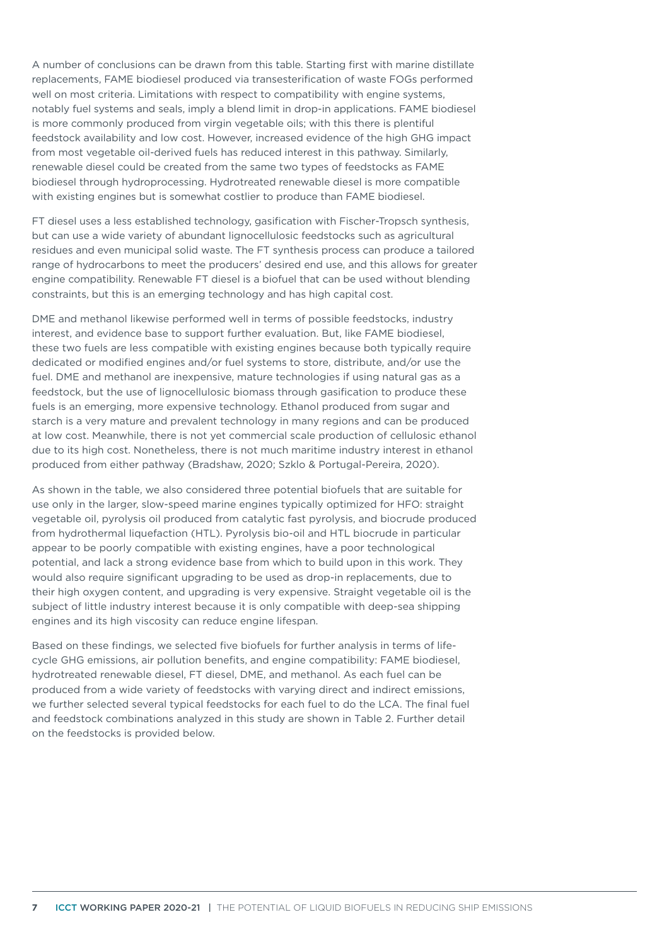A number of conclusions can be drawn from this table. Starting first with marine distillate replacements, FAME biodiesel produced via transesterification of waste FOGs performed well on most criteria. Limitations with respect to compatibility with engine systems, notably fuel systems and seals, imply a blend limit in drop-in applications. FAME biodiesel is more commonly produced from virgin vegetable oils; with this there is plentiful feedstock availability and low cost. However, increased evidence of the high GHG impact from most vegetable oil-derived fuels has reduced interest in this pathway. Similarly, renewable diesel could be created from the same two types of feedstocks as FAME biodiesel through hydroprocessing. Hydrotreated renewable diesel is more compatible with existing engines but is somewhat costlier to produce than FAME biodiesel.

FT diesel uses a less established technology, gasification with Fischer-Tropsch synthesis, but can use a wide variety of abundant lignocellulosic feedstocks such as agricultural residues and even municipal solid waste. The FT synthesis process can produce a tailored range of hydrocarbons to meet the producers' desired end use, and this allows for greater engine compatibility. Renewable FT diesel is a biofuel that can be used without blending constraints, but this is an emerging technology and has high capital cost.

DME and methanol likewise performed well in terms of possible feedstocks, industry interest, and evidence base to support further evaluation. But, like FAME biodiesel, these two fuels are less compatible with existing engines because both typically require dedicated or modified engines and/or fuel systems to store, distribute, and/or use the fuel. DME and methanol are inexpensive, mature technologies if using natural gas as a feedstock, but the use of lignocellulosic biomass through gasification to produce these fuels is an emerging, more expensive technology. Ethanol produced from sugar and starch is a very mature and prevalent technology in many regions and can be produced at low cost. Meanwhile, there is not yet commercial scale production of cellulosic ethanol due to its high cost. Nonetheless, there is not much maritime industry interest in ethanol produced from either pathway (Bradshaw, 2020; Szklo & Portugal-Pereira, 2020).

As shown in the table, we also considered three potential biofuels that are suitable for use only in the larger, slow-speed marine engines typically optimized for HFO: straight vegetable oil, pyrolysis oil produced from catalytic fast pyrolysis, and biocrude produced from hydrothermal liquefaction (HTL). Pyrolysis bio-oil and HTL biocrude in particular appear to be poorly compatible with existing engines, have a poor technological potential, and lack a strong evidence base from which to build upon in this work. They would also require significant upgrading to be used as drop-in replacements, due to their high oxygen content, and upgrading is very expensive. Straight vegetable oil is the subject of little industry interest because it is only compatible with deep-sea shipping engines and its high viscosity can reduce engine lifespan.

Based on these findings, we selected five biofuels for further analysis in terms of lifecycle GHG emissions, air pollution benefits, and engine compatibility: FAME biodiesel, hydrotreated renewable diesel, FT diesel, DME, and methanol. As each fuel can be produced from a wide variety of feedstocks with varying direct and indirect emissions, we further selected several typical feedstocks for each fuel to do the LCA. The final fuel and feedstock combinations analyzed in this study are shown in Table 2. Further detail on the feedstocks is provided below.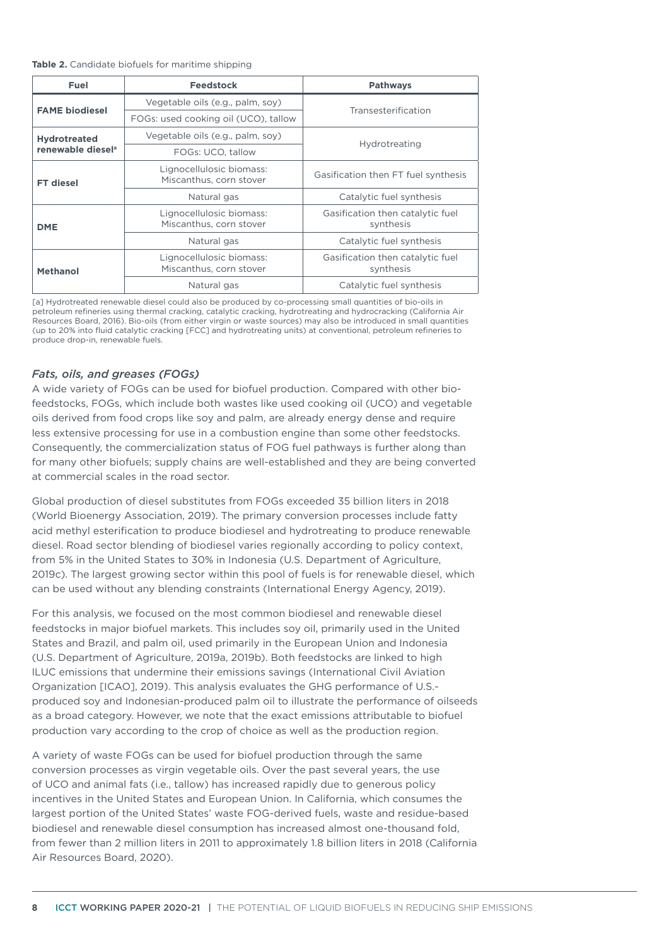<span id="page-7-0"></span>

| Table 2. Candidate biofuels for maritime shipping |  |
|---------------------------------------------------|--|
|---------------------------------------------------|--|

| Fuel                          | <b>Feedstock</b>                                    | <b>Pathways</b>                               |  |  |
|-------------------------------|-----------------------------------------------------|-----------------------------------------------|--|--|
| <b>FAME biodiesel</b>         | Vegetable oils (e.g., palm, soy)                    | Transesterification                           |  |  |
|                               | FOGs: used cooking oil (UCO), tallow                |                                               |  |  |
| <b>Hydrotreated</b>           | Vegetable oils (e.g., palm, soy)                    |                                               |  |  |
| renewable diesel <sup>a</sup> | FOGs: UCO, tallow                                   | Hydrotreating                                 |  |  |
| <b>FT</b> diesel              | Lignocellulosic biomass:<br>Miscanthus, corn stover | Gasification then FT fuel synthesis           |  |  |
|                               | Natural gas                                         | Catalytic fuel synthesis                      |  |  |
| <b>DME</b>                    | Lignocellulosic biomass:<br>Miscanthus, corn stover | Gasification then catalytic fuel<br>synthesis |  |  |
|                               | Natural gas                                         | Catalytic fuel synthesis                      |  |  |
| <b>Methanol</b>               | Lignocellulosic biomass:<br>Miscanthus, corn stover | Gasification then catalytic fuel<br>synthesis |  |  |
|                               | Natural gas                                         | Catalytic fuel synthesis                      |  |  |

[a] Hydrotreated renewable diesel could also be produced by co-processing small quantities of bio-oils in petroleum refineries using thermal cracking, catalytic cracking, hydrotreating and hydrocracking (California Air Resources Board, 2016). Bio-oils (from either virgin or waste sources) may also be introduced in small quantities (up to 20% into fluid catalytic cracking [FCC] and hydrotreating units) at conventional, petroleum refineries to produce drop-in, renewable fuels.

#### *Fats, oils, and greases (FOGs)*

A wide variety of FOGs can be used for biofuel production. Compared with other biofeedstocks, FOGs, which include both wastes like used cooking oil (UCO) and vegetable oils derived from food crops like soy and palm, are already energy dense and require less extensive processing for use in a combustion engine than some other feedstocks. Consequently, the commercialization status of FOG fuel pathways is further along than for many other biofuels; supply chains are well-established and they are being converted at commercial scales in the road sector.

Global production of diesel substitutes from FOGs exceeded 35 billion liters in 2018 (World Bioenergy Association, 2019). The primary conversion processes include fatty acid methyl esterification to produce biodiesel and hydrotreating to produce renewable diesel. Road sector blending of biodiesel varies regionally according to policy context, from 5% in the United States to 30% in Indonesia (U.S. Department of Agriculture, 2019c). The largest growing sector within this pool of fuels is for renewable diesel, which can be used without any blending constraints (International Energy Agency, 2019).

For this analysis, we focused on the most common biodiesel and renewable diesel feedstocks in major biofuel markets. This includes soy oil, primarily used in the United States and Brazil, and palm oil, used primarily in the European Union and Indonesia (U.S. Department of Agriculture, 2019a, 2019b). Both feedstocks are linked to high ILUC emissions that undermine their emissions savings (International Civil Aviation Organization [ICAO], 2019). This analysis evaluates the GHG performance of U.S. produced soy and Indonesian-produced palm oil to illustrate the performance of oilseeds as a broad category. However, we note that the exact emissions attributable to biofuel production vary according to the crop of choice as well as the production region.

A variety of waste FOGs can be used for biofuel production through the same conversion processes as virgin vegetable oils. Over the past several years, the use of UCO and animal fats (i.e., tallow) has increased rapidly due to generous policy incentives in the United States and European Union. In California, which consumes the largest portion of the United States' waste FOG-derived fuels, waste and residue-based biodiesel and renewable diesel consumption has increased almost one-thousand fold, from fewer than 2 million liters in 2011 to approximately 1.8 billion liters in 2018 (California Air Resources Board, 2020).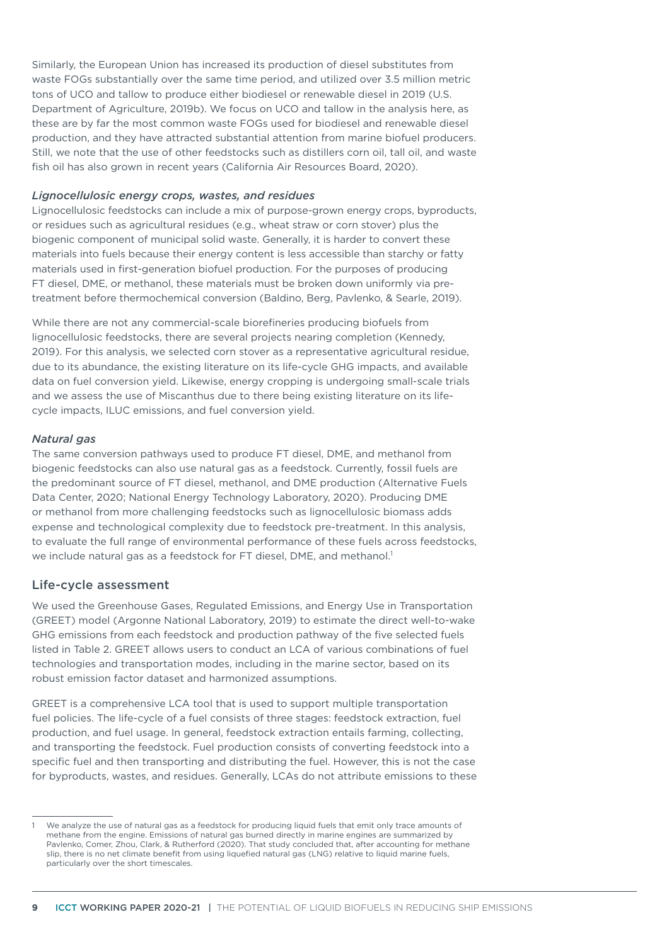Similarly, the European Union has increased its production of diesel substitutes from waste FOGs substantially over the same time period, and utilized over 3.5 million metric tons of UCO and tallow to produce either biodiesel or renewable diesel in 2019 (U.S. Department of Agriculture, 2019b). We focus on UCO and tallow in the analysis here, as these are by far the most common waste FOGs used for biodiesel and renewable diesel production, and they have attracted substantial attention from marine biofuel producers. Still, we note that the use of other feedstocks such as distillers corn oil, tall oil, and waste fish oil has also grown in recent years (California Air Resources Board, 2020).

#### *Lignocellulosic energy crops, wastes, and residues*

Lignocellulosic feedstocks can include a mix of purpose-grown energy crops, byproducts, or residues such as agricultural residues (e.g., wheat straw or corn stover) plus the biogenic component of municipal solid waste. Generally, it is harder to convert these materials into fuels because their energy content is less accessible than starchy or fatty materials used in first-generation biofuel production. For the purposes of producing FT diesel, DME, or methanol, these materials must be broken down uniformly via pretreatment before thermochemical conversion (Baldino, Berg, Pavlenko, & Searle, 2019).

While there are not any commercial-scale biorefineries producing biofuels from lignocellulosic feedstocks, there are several projects nearing completion (Kennedy, 2019). For this analysis, we selected corn stover as a representative agricultural residue, due to its abundance, the existing literature on its life-cycle GHG impacts, and available data on fuel conversion yield. Likewise, energy cropping is undergoing small-scale trials and we assess the use of Miscanthus due to there being existing literature on its lifecycle impacts, ILUC emissions, and fuel conversion yield.

#### *Natural gas*

The same conversion pathways used to produce FT diesel, DME, and methanol from biogenic feedstocks can also use natural gas as a feedstock. Currently, fossil fuels are the predominant source of FT diesel, methanol, and DME production (Alternative Fuels Data Center, 2020; National Energy Technology Laboratory, 2020). Producing DME or methanol from more challenging feedstocks such as lignocellulosic biomass adds expense and technological complexity due to feedstock pre-treatment. In this analysis, to evaluate the full range of environmental performance of these fuels across feedstocks, we include natural gas as a feedstock for FT diesel, DME, and methanol.<sup>1</sup>

#### Life-cycle assessment

We used the Greenhouse Gases, Regulated Emissions, and Energy Use in Transportation (GREET) model (Argonne National Laboratory, 2019) to estimate the direct well-to-wake GHG emissions from each feedstock and production pathway of the five selected fuels listed in Table 2. GREET allows users to conduct an LCA of various combinations of fuel technologies and transportation modes, including in the marine sector, based on its robust emission factor dataset and harmonized assumptions.

GREET is a comprehensive LCA tool that is used to support multiple transportation fuel policies. The life-cycle of a fuel consists of three stages: feedstock extraction, fuel production, and fuel usage. In general, feedstock extraction entails farming, collecting, and transporting the feedstock. Fuel production consists of converting feedstock into a specific fuel and then transporting and distributing the fuel. However, this is not the case for byproducts, wastes, and residues. Generally, LCAs do not attribute emissions to these

We analyze the use of natural gas as a feedstock for producing liquid fuels that emit only trace amounts of methane from the engine. Emissions of natural gas burned directly in marine engines are summarized by Pavlenko, Comer, Zhou, Clark, & Rutherford (2020). That study concluded that, after accounting for methane slip, there is no net climate benefit from using liquefied natural gas (LNG) relative to liquid marine fuels, particularly over the short timescales.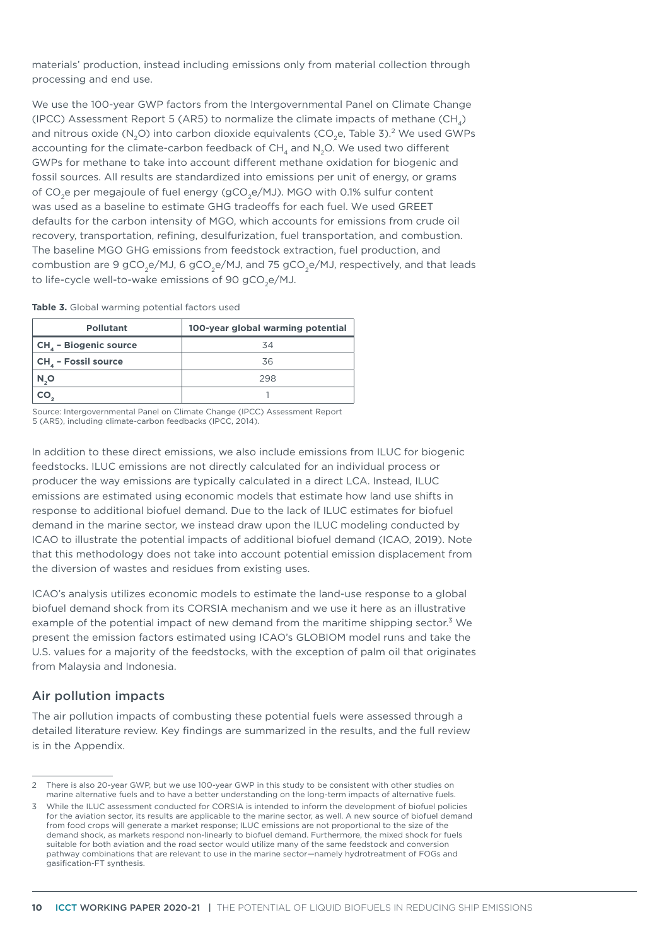materials' production, instead including emissions only from material collection through processing and end use.

We use the 100-year GWP factors from the Intergovernmental Panel on Climate Change (IPCC) Assessment Report 5 (AR5) to normalize the climate impacts of methane (CH<sub>a</sub>) and nitrous oxide (N<sub>2</sub>O) into carbon dioxide equivalents (CO<sub>2</sub>e, Table 3).<sup>2</sup> We used GWPs accounting for the climate-carbon feedback of  $CH<sub>4</sub>$  and N<sub>2</sub>O. We used two different GWPs for methane to take into account different methane oxidation for biogenic and fossil sources. All results are standardized into emissions per unit of energy, or grams of CO<sub>2</sub>e per megajoule of fuel energy (gCO<sub>2</sub>e/MJ). MGO with 0.1% sulfur content was used as a baseline to estimate GHG tradeoffs for each fuel. We used GREET defaults for the carbon intensity of MGO, which accounts for emissions from crude oil recovery, transportation, refining, desulfurization, fuel transportation, and combustion. The baseline MGO GHG emissions from feedstock extraction, fuel production, and combustion are 9 gCO<sub>2</sub>e/MJ, 6 gCO<sub>2</sub>e/MJ, and 75 gCO<sub>2</sub>e/MJ, respectively, and that leads to life-cycle well-to-wake emissions of 90 gCO<sub>2</sub>e/MJ.

**Table 3.** Global warming potential factors used

| <b>Pollutant</b>                  | 100-year global warming potential |
|-----------------------------------|-----------------------------------|
| CH <sub>4</sub> - Biogenic source | 34                                |
| CH <sub>4</sub> - Fossil source   | 36                                |
| N O                               | 298                               |
|                                   |                                   |

Source: Intergovernmental Panel on Climate Change (IPCC) Assessment Report 5 (AR5), including climate-carbon feedbacks (IPCC, 2014).

In addition to these direct emissions, we also include emissions from ILUC for biogenic feedstocks. ILUC emissions are not directly calculated for an individual process or producer the way emissions are typically calculated in a direct LCA. Instead, ILUC emissions are estimated using economic models that estimate how land use shifts in response to additional biofuel demand. Due to the lack of ILUC estimates for biofuel demand in the marine sector, we instead draw upon the ILUC modeling conducted by ICAO to illustrate the potential impacts of additional biofuel demand (ICAO, 2019). Note that this methodology does not take into account potential emission displacement from the diversion of wastes and residues from existing uses.

ICAO's analysis utilizes economic models to estimate the land-use response to a global biofuel demand shock from its CORSIA mechanism and we use it here as an illustrative example of the potential impact of new demand from the maritime shipping sector.<sup>3</sup> We present the emission factors estimated using ICAO's GLOBIOM model runs and take the U.S. values for a majority of the feedstocks, with the exception of palm oil that originates from Malaysia and Indonesia.

#### Air pollution impacts

The air pollution impacts of combusting these potential fuels were assessed through a detailed literature review. Key findings are summarized in the results, and the full review is in the Appendix.

<sup>2</sup> There is also 20-year GWP, but we use 100-year GWP in this study to be consistent with other studies on marine alternative fuels and to have a better understanding on the long-term impacts of alternative fuels.

<sup>3</sup> While the ILUC assessment conducted for CORSIA is intended to inform the development of biofuel policies for the aviation sector, its results are applicable to the marine sector, as well. A new source of biofuel demand from food crops will generate a market response; ILUC emissions are not proportional to the size of the demand shock, as markets respond non-linearly to biofuel demand. Furthermore, the mixed shock for fuels suitable for both aviation and the road sector would utilize many of the same feedstock and conversion pathway combinations that are relevant to use in the marine sector—namely hydrotreatment of FOGs and gasification-FT synthesis.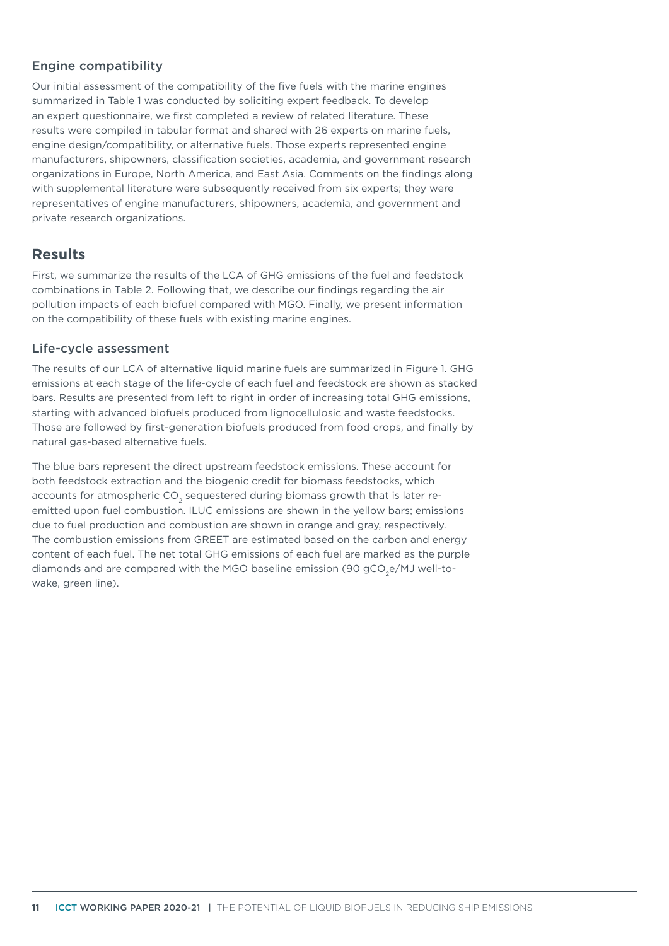#### Engine compatibility

Our initial assessment of the compatibility of the five fuels with the marine engines summarized in [Table 1](#page-7-0) was conducted by soliciting expert feedback. To develop an expert questionnaire, we first completed a review of related literature. These results were compiled in tabular format and shared with 26 experts on marine fuels, engine design/compatibility, or alternative fuels. Those experts represented engine manufacturers, shipowners, classification societies, academia, and government research organizations in Europe, North America, and East Asia. Comments on the findings along with supplemental literature were subsequently received from six experts; they were representatives of engine manufacturers, shipowners, academia, and government and private research organizations.

# **Results**

First, we summarize the results of the LCA of GHG emissions of the fuel and feedstock combinations in Table 2. Following that, we describe our findings regarding the air pollution impacts of each biofuel compared with MGO. Finally, we present information on the compatibility of these fuels with existing marine engines.

#### Life-cycle assessment

The results of our LCA of alternative liquid marine fuels are summarized in Figure 1. GHG emissions at each stage of the life-cycle of each fuel and feedstock are shown as stacked bars. Results are presented from left to right in order of increasing total GHG emissions, starting with advanced biofuels produced from lignocellulosic and waste feedstocks. Those are followed by first-generation biofuels produced from food crops, and finally by natural gas-based alternative fuels.

The blue bars represent the direct upstream feedstock emissions. These account for both feedstock extraction and the biogenic credit for biomass feedstocks, which accounts for atmospheric CO<sub>2</sub> sequestered during biomass growth that is later reemitted upon fuel combustion. ILUC emissions are shown in the yellow bars; emissions due to fuel production and combustion are shown in orange and gray, respectively. The combustion emissions from GREET are estimated based on the carbon and energy content of each fuel. The net total GHG emissions of each fuel are marked as the purple diamonds and are compared with the MGO baseline emission (90 gCO<sub>2</sub>e/MJ well-towake, green line).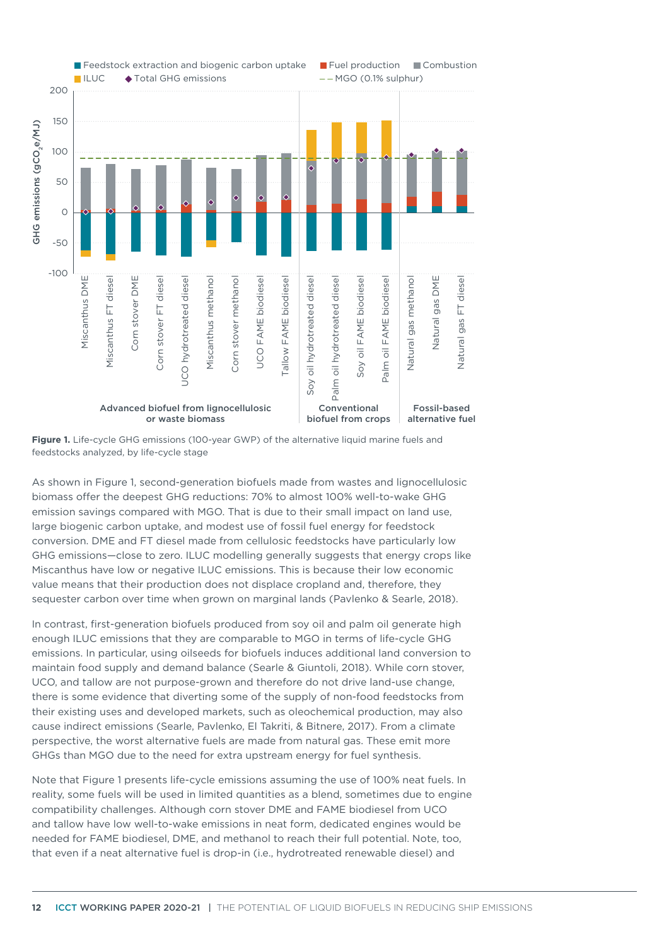

**Figure 1.** Life-cycle GHG emissions (100-year GWP) of the alternative liquid marine fuels and feedstocks analyzed, by life-cycle stage

As shown in Figure 1, second-generation biofuels made from wastes and lignocellulosic biomass offer the deepest GHG reductions: 70% to almost 100% well-to-wake GHG emission savings compared with MGO. That is due to their small impact on land use, large biogenic carbon uptake, and modest use of fossil fuel energy for feedstock conversion. DME and FT diesel made from cellulosic feedstocks have particularly low GHG emissions—close to zero. ILUC modelling generally suggests that energy crops like Miscanthus have low or negative ILUC emissions. This is because their low economic value means that their production does not displace cropland and, therefore, they sequester carbon over time when grown on marginal lands (Pavlenko & Searle, 2018).

In contrast, first-generation biofuels produced from soy oil and palm oil generate high enough ILUC emissions that they are comparable to MGO in terms of life-cycle GHG emissions. In particular, using oilseeds for biofuels induces additional land conversion to maintain food supply and demand balance (Searle & Giuntoli, 2018). While corn stover, UCO, and tallow are not purpose-grown and therefore do not drive land-use change, there is some evidence that diverting some of the supply of non-food feedstocks from their existing uses and developed markets, such as oleochemical production, may also cause indirect emissions (Searle, Pavlenko, El Takriti, & Bitnere, 2017). From a climate perspective, the worst alternative fuels are made from natural gas. These emit more GHGs than MGO due to the need for extra upstream energy for fuel synthesis.

Note that Figure 1 presents life-cycle emissions assuming the use of 100% neat fuels. In reality, some fuels will be used in limited quantities as a blend, sometimes due to engine compatibility challenges. Although corn stover DME and FAME biodiesel from UCO and tallow have low well-to-wake emissions in neat form, dedicated engines would be needed for FAME biodiesel, DME, and methanol to reach their full potential. Note, too, that even if a neat alternative fuel is drop-in (i.e., hydrotreated renewable diesel) and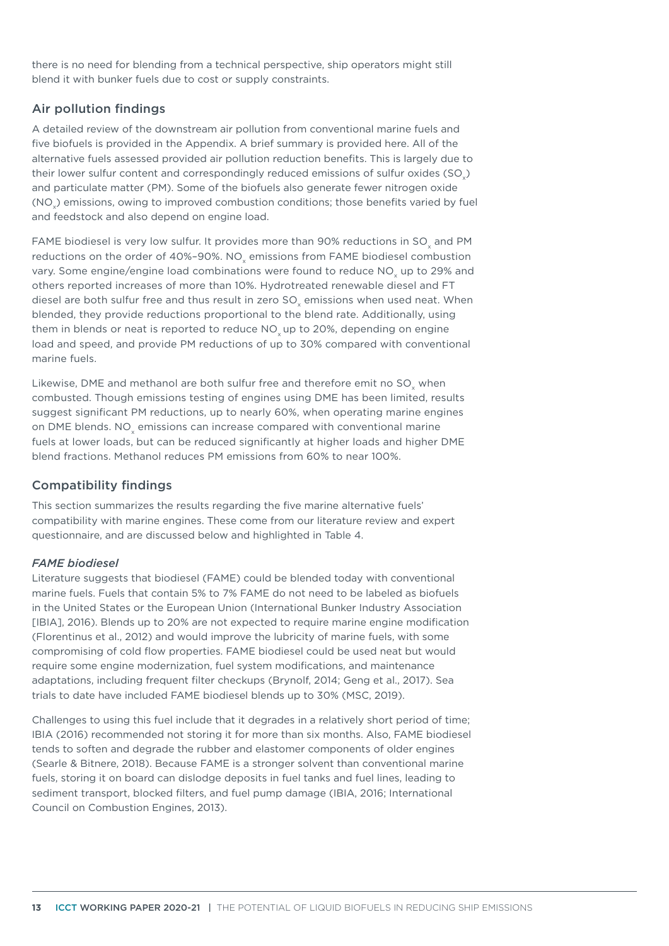there is no need for blending from a technical perspective, ship operators might still blend it with bunker fuels due to cost or supply constraints.

#### Air pollution findings

A detailed review of the downstream air pollution from conventional marine fuels and five biofuels is provided in the Appendix. A brief summary is provided here. All of the alternative fuels assessed provided air pollution reduction benefits. This is largely due to their lower sulfur content and correspondingly reduced emissions of sulfur oxides (SO) and particulate matter (PM). Some of the biofuels also generate fewer nitrogen oxide (NO<sub>x</sub>) emissions, owing to improved combustion conditions; those benefits varied by fuel and feedstock and also depend on engine load.

FAME biodiesel is very low sulfur. It provides more than 90% reductions in SO<sub>v</sub> and PM reductions on the order of 40%-90%. NO<sub>v</sub> emissions from FAME biodiesel combustion vary. Some engine/engine load combinations were found to reduce NO<sub>v</sub> up to 29% and others reported increases of more than 10%. Hydrotreated renewable diesel and FT diesel are both sulfur free and thus result in zero SO<sub>v</sub> emissions when used neat. When blended, they provide reductions proportional to the blend rate. Additionally, using them in blends or neat is reported to reduce NO<sub>v</sub> up to 20%, depending on engine load and speed, and provide PM reductions of up to 30% compared with conventional marine fuels.

Likewise, DME and methanol are both sulfur free and therefore emit no SO<sub>y</sub> when combusted. Though emissions testing of engines using DME has been limited, results suggest significant PM reductions, up to nearly 60%, when operating marine engines on DME blends. NO<sub>v</sub> emissions can increase compared with conventional marine fuels at lower loads, but can be reduced significantly at higher loads and higher DME blend fractions. Methanol reduces PM emissions from 60% to near 100%.

#### Compatibility findings

This section summarizes the results regarding the five marine alternative fuels' compatibility with marine engines. These come from our literature review and expert questionnaire, and are discussed below and highlighted in Table 4.

#### *FAME biodiesel*

Literature suggests that biodiesel (FAME) could be blended today with conventional marine fuels. Fuels that contain 5% to 7% FAME do not need to be labeled as biofuels in the United States or the European Union (International Bunker Industry Association [IBIA], 2016). Blends up to 20% are not expected to require marine engine modification (Florentinus et al., 2012) and would improve the lubricity of marine fuels, with some compromising of cold flow properties. FAME biodiesel could be used neat but would require some engine modernization, fuel system modifications, and maintenance adaptations, including frequent filter checkups (Brynolf, 2014; Geng et al., 2017). Sea trials to date have included FAME biodiesel blends up to 30% (MSC, 2019).

Challenges to using this fuel include that it degrades in a relatively short period of time; IBIA (2016) recommended not storing it for more than six months. Also, FAME biodiesel tends to soften and degrade the rubber and elastomer components of older engines (Searle & Bitnere, 2018). Because FAME is a stronger solvent than conventional marine fuels, storing it on board can dislodge deposits in fuel tanks and fuel lines, leading to sediment transport, blocked filters, and fuel pump damage (IBIA, 2016; International Council on Combustion Engines, 2013).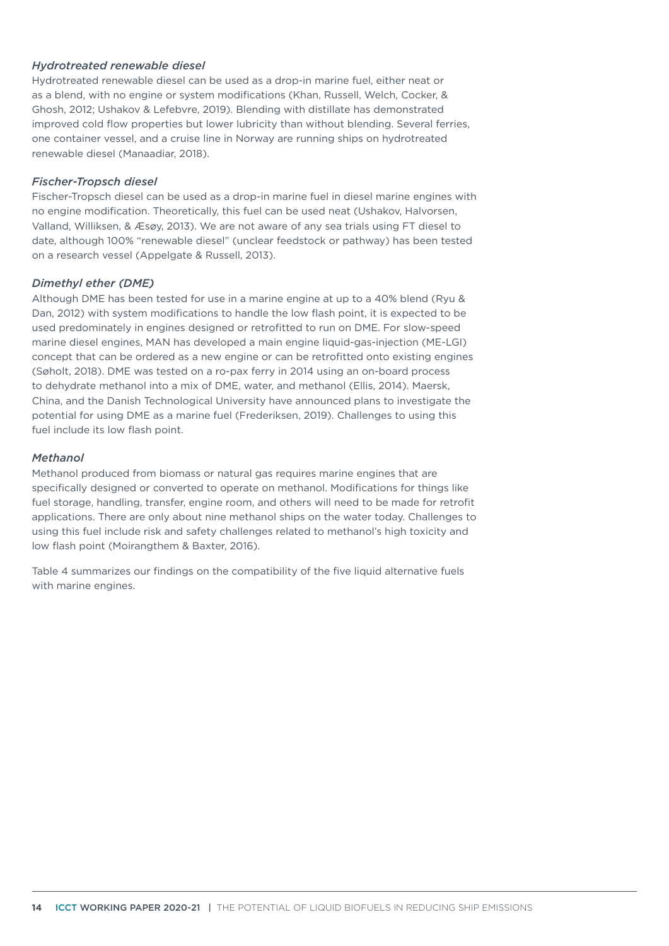#### *Hydrotreated renewable diesel*

Hydrotreated renewable diesel can be used as a drop-in marine fuel, either neat or as a blend, with no engine or system modifications (Khan, Russell, Welch, Cocker, & Ghosh, 2012; Ushakov & Lefebvre, 2019). Blending with distillate has demonstrated improved cold flow properties but lower lubricity than without blending. Several ferries, one container vessel, and a cruise line in Norway are running ships on hydrotreated renewable diesel (Manaadiar, 2018).

#### *Fischer-Tropsch diesel*

Fischer-Tropsch diesel can be used as a drop-in marine fuel in diesel marine engines with no engine modification. Theoretically, this fuel can be used neat (Ushakov, Halvorsen, Valland, Williksen, & Æsøy, 2013). We are not aware of any sea trials using FT diesel to date, although 100% "renewable diesel" (unclear feedstock or pathway) has been tested on a research vessel (Appelgate & Russell, 2013).

#### *Dimethyl ether (DME)*

Although DME has been tested for use in a marine engine at up to a 40% blend (Ryu & Dan, 2012) with system modifications to handle the low flash point, it is expected to be used predominately in engines designed or retrofitted to run on DME. For slow-speed marine diesel engines, MAN has developed a main engine liquid-gas-injection (ME-LGI) concept that can be ordered as a new engine or can be retrofitted onto existing engines (Søholt, 2018). DME was tested on a ro-pax ferry in 2014 using an on-board process to dehydrate methanol into a mix of DME, water, and methanol (Ellis, 2014). Maersk, China, and the Danish Technological University have announced plans to investigate the potential for using DME as a marine fuel (Frederiksen, 2019). Challenges to using this fuel include its low flash point.

#### *Methanol*

Methanol produced from biomass or natural gas requires marine engines that are specifically designed or converted to operate on methanol. Modifications for things like fuel storage, handling, transfer, engine room, and others will need to be made for retrofit applications. There are only about nine methanol ships on the water today. Challenges to using this fuel include risk and safety challenges related to methanol's high toxicity and low flash point (Moirangthem & Baxter, 2016).

Table 4 summarizes our findings on the compatibility of the five liquid alternative fuels with marine engines.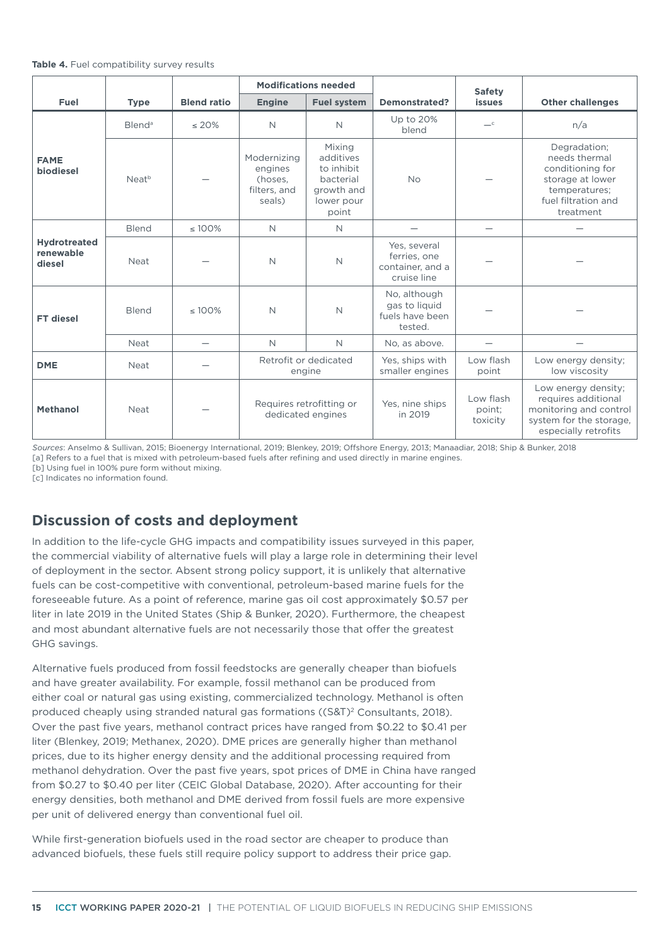|  | Table 4. Fuel compatibility survey results |  |  |
|--|--------------------------------------------|--|--|
|--|--------------------------------------------|--|--|

|                                            |                    |                    | <b>Modifications needed</b>                                           |                                                                                     |                                                                 | <b>Safety</b>                        |                                                                                                                            |
|--------------------------------------------|--------------------|--------------------|-----------------------------------------------------------------------|-------------------------------------------------------------------------------------|-----------------------------------------------------------------|--------------------------------------|----------------------------------------------------------------------------------------------------------------------------|
| Fuel                                       | <b>Type</b>        | <b>Blend ratio</b> | <b>Engine</b>                                                         | <b>Fuel system</b>                                                                  | <b>Demonstrated?</b>                                            | <b>issues</b>                        | <b>Other challenges</b>                                                                                                    |
|                                            | Blend <sup>a</sup> | $\leq 20\%$        | $\mathsf{N}$                                                          | N                                                                                   | Up to 20%<br>blend                                              | $-c$                                 | n/a                                                                                                                        |
| <b>FAME</b><br>biodiesel                   | Neat <sup>b</sup>  |                    | Modernizing<br>engines<br>(hoses,<br>filters, and<br>seals)           | Mixing<br>additives<br>to inhibit<br>bacterial<br>growth and<br>lower pour<br>point | <b>No</b>                                                       |                                      | Degradation:<br>needs thermal<br>conditioning for<br>storage at lower<br>temperatures;<br>fuel filtration and<br>treatment |
|                                            | <b>Blend</b>       | $\leq 100\%$       | $\mathsf{N}$                                                          | $\mathbb N$                                                                         |                                                                 | $\overline{\phantom{0}}$             |                                                                                                                            |
| <b>Hydrotreated</b><br>renewable<br>diesel | <b>Neat</b>        |                    | $\mathsf{N}$                                                          | $\mathbb N$                                                                         | Yes, several<br>ferries, one<br>container, and a<br>cruise line |                                      |                                                                                                                            |
| <b>FT</b> diesel                           | Blend              | $\leq 100\%$       | $\mathbb N$                                                           | $\mathbb N$                                                                         | No, although<br>gas to liquid<br>fuels have been<br>tested.     |                                      |                                                                                                                            |
|                                            | <b>Neat</b>        |                    | $\mathsf{N}$                                                          | N                                                                                   | No, as above.                                                   |                                      |                                                                                                                            |
| <b>DME</b>                                 | <b>Neat</b>        |                    | Retrofit or dedicated<br>Yes, ships with<br>smaller engines<br>engine |                                                                                     | Low flash<br>point                                              | Low energy density;<br>low viscosity |                                                                                                                            |
| <b>Methanol</b>                            | <b>Neat</b>        |                    | dedicated engines                                                     | Requires retrofitting or                                                            | Yes, nine ships<br>in 2019                                      | Low flash<br>point;<br>toxicity      | Low energy density;<br>requires additional<br>monitoring and control<br>system for the storage.<br>especially retrofits    |

*Sources*: Anselmo & Sullivan, 2015; Bioenergy International, 2019; Blenkey, 2019; Offshore Energy, 2013; Manaadiar, 2018; Ship & Bunker, 2018

[a] Refers to a fuel that is mixed with petroleum-based fuels after refining and used directly in marine engines. [b] Using fuel in 100% pure form without mixing.

[c] Indicates no information found.

# **Discussion of costs and deployment**

In addition to the life-cycle GHG impacts and compatibility issues surveyed in this paper, the commercial viability of alternative fuels will play a large role in determining their level of deployment in the sector. Absent strong policy support, it is unlikely that alternative fuels can be cost-competitive with conventional, petroleum-based marine fuels for the foreseeable future. As a point of reference, marine gas oil cost approximately \$0.57 per liter in late 2019 in the United States (Ship & Bunker, 2020). Furthermore, the cheapest and most abundant alternative fuels are not necessarily those that offer the greatest GHG savings.

Alternative fuels produced from fossil feedstocks are generally cheaper than biofuels and have greater availability. For example, fossil methanol can be produced from either coal or natural gas using existing, commercialized technology. Methanol is often produced cheaply using stranded natural gas formations ((S&T)<sup>2</sup> Consultants, 2018). Over the past five years, methanol contract prices have ranged from \$0.22 to \$0.41 per liter (Blenkey, 2019; Methanex, 2020). DME prices are generally higher than methanol prices, due to its higher energy density and the additional processing required from methanol dehydration. Over the past five years, spot prices of DME in China have ranged from \$0.27 to \$0.40 per liter (CEIC Global Database, 2020). After accounting for their energy densities, both methanol and DME derived from fossil fuels are more expensive per unit of delivered energy than conventional fuel oil.

While first-generation biofuels used in the road sector are cheaper to produce than advanced biofuels, these fuels still require policy support to address their price gap.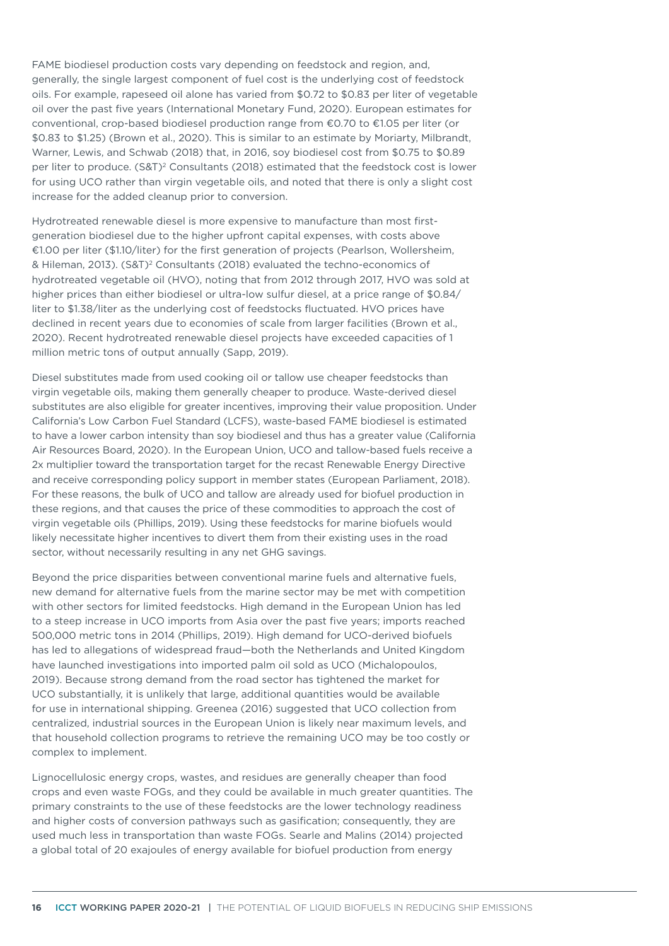FAME biodiesel production costs vary depending on feedstock and region, and, generally, the single largest component of fuel cost is the underlying cost of feedstock oils. For example, rapeseed oil alone has varied from \$0.72 to \$0.83 per liter of vegetable oil over the past five years (International Monetary Fund, 2020). European estimates for conventional, crop-based biodiesel production range from €0.70 to €1.05 per liter (or \$0.83 to \$1.25) (Brown et al., 2020). This is similar to an estimate by Moriarty, Milbrandt, Warner, Lewis, and Schwab (2018) that, in 2016, soy biodiesel cost from \$0.75 to \$0.89 per liter to produce. (S&T)<sup>2</sup> Consultants (2018) estimated that the feedstock cost is lower for using UCO rather than virgin vegetable oils, and noted that there is only a slight cost increase for the added cleanup prior to conversion.

Hydrotreated renewable diesel is more expensive to manufacture than most firstgeneration biodiesel due to the higher upfront capital expenses, with costs above €1.00 per liter (\$1.10/liter) for the first generation of projects (Pearlson, Wollersheim, & Hileman, 2013). (S&T)2 Consultants (2018) evaluated the techno-economics of hydrotreated vegetable oil (HVO), noting that from 2012 through 2017, HVO was sold at higher prices than either biodiesel or ultra-low sulfur diesel, at a price range of \$0.84/ liter to \$1.38/liter as the underlying cost of feedstocks fluctuated. HVO prices have declined in recent years due to economies of scale from larger facilities (Brown et al., 2020). Recent hydrotreated renewable diesel projects have exceeded capacities of 1 million metric tons of output annually (Sapp, 2019).

Diesel substitutes made from used cooking oil or tallow use cheaper feedstocks than virgin vegetable oils, making them generally cheaper to produce. Waste-derived diesel substitutes are also eligible for greater incentives, improving their value proposition. Under California's Low Carbon Fuel Standard (LCFS), waste-based FAME biodiesel is estimated to have a lower carbon intensity than soy biodiesel and thus has a greater value (California Air Resources Board, 2020). In the European Union, UCO and tallow-based fuels receive a 2x multiplier toward the transportation target for the recast Renewable Energy Directive and receive corresponding policy support in member states (European Parliament, 2018). For these reasons, the bulk of UCO and tallow are already used for biofuel production in these regions, and that causes the price of these commodities to approach the cost of virgin vegetable oils (Phillips, 2019). Using these feedstocks for marine biofuels would likely necessitate higher incentives to divert them from their existing uses in the road sector, without necessarily resulting in any net GHG savings.

Beyond the price disparities between conventional marine fuels and alternative fuels, new demand for alternative fuels from the marine sector may be met with competition with other sectors for limited feedstocks. High demand in the European Union has led to a steep increase in UCO imports from Asia over the past five years; imports reached 500,000 metric tons in 2014 (Phillips, 2019). High demand for UCO-derived biofuels has led to allegations of widespread fraud—both the Netherlands and United Kingdom have launched investigations into imported palm oil sold as UCO (Michalopoulos, 2019). Because strong demand from the road sector has tightened the market for UCO substantially, it is unlikely that large, additional quantities would be available for use in international shipping. Greenea (2016) suggested that UCO collection from centralized, industrial sources in the European Union is likely near maximum levels, and that household collection programs to retrieve the remaining UCO may be too costly or complex to implement.

Lignocellulosic energy crops, wastes, and residues are generally cheaper than food crops and even waste FOGs, and they could be available in much greater quantities. The primary constraints to the use of these feedstocks are the lower technology readiness and higher costs of conversion pathways such as gasification; consequently, they are used much less in transportation than waste FOGs. Searle and Malins (2014) projected a global total of 20 exajoules of energy available for biofuel production from energy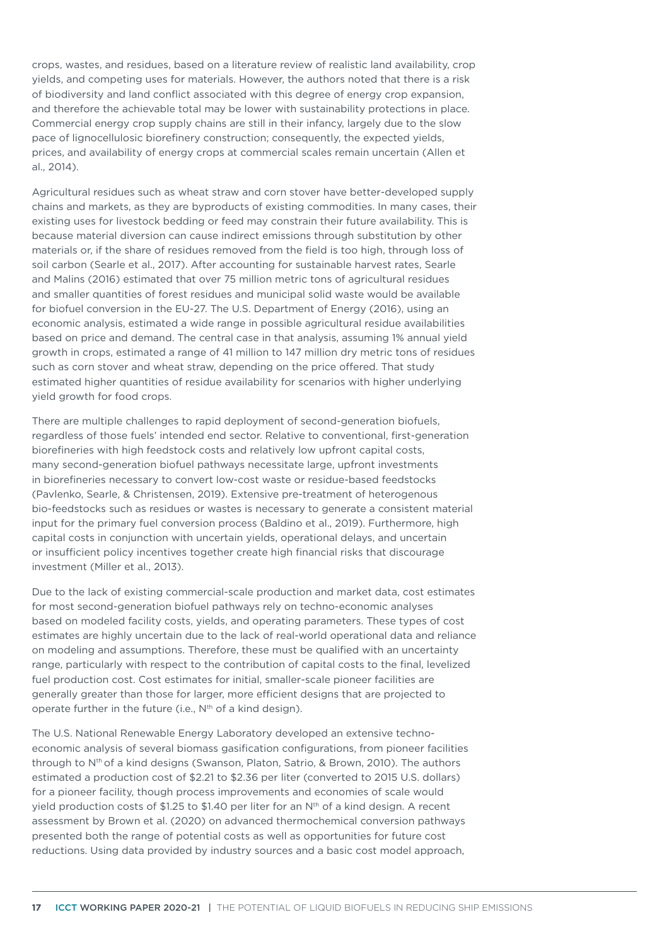crops, wastes, and residues, based on a literature review of realistic land availability, crop yields, and competing uses for materials. However, the authors noted that there is a risk of biodiversity and land conflict associated with this degree of energy crop expansion, and therefore the achievable total may be lower with sustainability protections in place. Commercial energy crop supply chains are still in their infancy, largely due to the slow pace of lignocellulosic biorefinery construction; consequently, the expected yields, prices, and availability of energy crops at commercial scales remain uncertain (Allen et al., 2014).

Agricultural residues such as wheat straw and corn stover have better-developed supply chains and markets, as they are byproducts of existing commodities. In many cases, their existing uses for livestock bedding or feed may constrain their future availability. This is because material diversion can cause indirect emissions through substitution by other materials or, if the share of residues removed from the field is too high, through loss of soil carbon (Searle et al., 2017). After accounting for sustainable harvest rates, Searle and Malins (2016) estimated that over 75 million metric tons of agricultural residues and smaller quantities of forest residues and municipal solid waste would be available for biofuel conversion in the EU-27. The U.S. Department of Energy (2016), using an economic analysis, estimated a wide range in possible agricultural residue availabilities based on price and demand. The central case in that analysis, assuming 1% annual yield growth in crops, estimated a range of 41 million to 147 million dry metric tons of residues such as corn stover and wheat straw, depending on the price offered. That study estimated higher quantities of residue availability for scenarios with higher underlying yield growth for food crops.

There are multiple challenges to rapid deployment of second-generation biofuels, regardless of those fuels' intended end sector. Relative to conventional, first-generation biorefineries with high feedstock costs and relatively low upfront capital costs, many second-generation biofuel pathways necessitate large, upfront investments in biorefineries necessary to convert low-cost waste or residue-based feedstocks (Pavlenko, Searle, & Christensen, 2019). Extensive pre-treatment of heterogenous bio-feedstocks such as residues or wastes is necessary to generate a consistent material input for the primary fuel conversion process (Baldino et al., 2019). Furthermore, high capital costs in conjunction with uncertain yields, operational delays, and uncertain or insufficient policy incentives together create high financial risks that discourage investment (Miller et al., 2013).

Due to the lack of existing commercial-scale production and market data, cost estimates for most second-generation biofuel pathways rely on techno-economic analyses based on modeled facility costs, yields, and operating parameters. These types of cost estimates are highly uncertain due to the lack of real-world operational data and reliance on modeling and assumptions. Therefore, these must be qualified with an uncertainty range, particularly with respect to the contribution of capital costs to the final, levelized fuel production cost. Cost estimates for initial, smaller-scale pioneer facilities are generally greater than those for larger, more efficient designs that are projected to operate further in the future (i.e., N<sup>th</sup> of a kind design).

The U.S. National Renewable Energy Laboratory developed an extensive technoeconomic analysis of several biomass gasification configurations, from pioneer facilities through to Nth of a kind designs (Swanson, Platon, Satrio, & Brown, 2010). The authors estimated a production cost of \$2.21 to \$2.36 per liter (converted to 2015 U.S. dollars) for a pioneer facility, though process improvements and economies of scale would yield production costs of \$1.25 to \$1.40 per liter for an  $N<sup>th</sup>$  of a kind design. A recent assessment by Brown et al. (2020) on advanced thermochemical conversion pathways presented both the range of potential costs as well as opportunities for future cost reductions. Using data provided by industry sources and a basic cost model approach,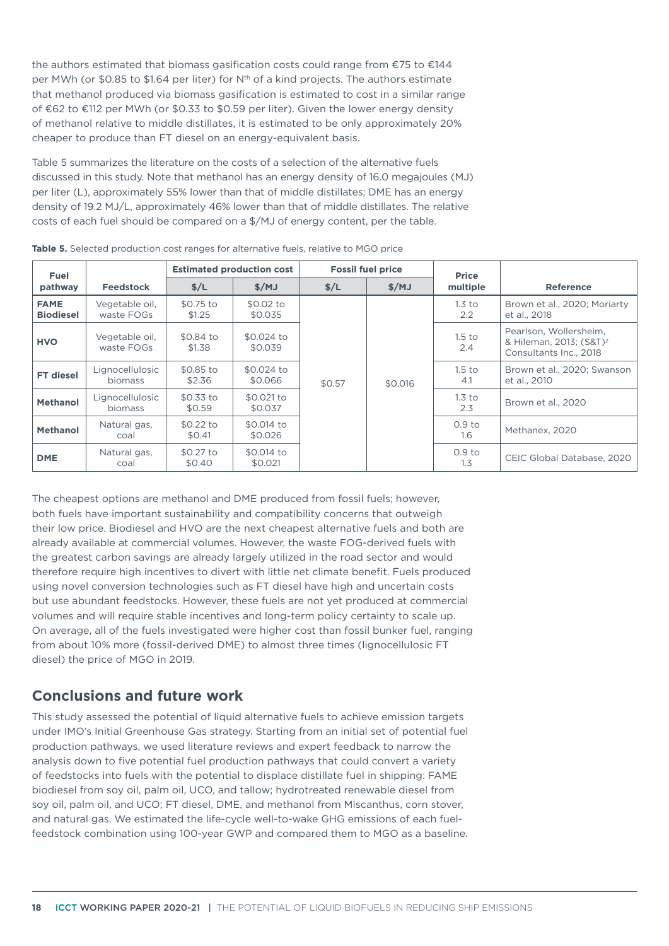the authors estimated that biomass gasification costs could range from €75 to €144 per MWh (or \$0.85 to \$1.64 per liter) for N<sup>th</sup> of a kind projects. The authors estimate that methanol produced via biomass gasification is estimated to cost in a similar range of €62 to €112 per MWh (or \$0.33 to \$0.59 per liter). Given the lower energy density of methanol relative to middle distillates, it is estimated to be only approximately 20% cheaper to produce than FT diesel on an energy-equivalent basis.

[Table](#page-17-0) 5 summarizes the literature on the costs of a selection of the alternative fuels discussed in this study. Note that methanol has an energy density of 16.0 megajoules (MJ) per liter (L), approximately 55% lower than that of middle distillates; DME has an energy density of 19.2 MJ/L, approximately 46% lower than that of middle distillates. The relative costs of each fuel should be compared on a \$/MJ of energy content, per the table.

| Fuel                            |                                   |                      | <b>Estimated production cost</b> |        | <b>Fossil fuel price</b> | <b>Price</b>                       |                                                                                         |
|---------------------------------|-----------------------------------|----------------------|----------------------------------|--------|--------------------------|------------------------------------|-----------------------------------------------------------------------------------------|
| pathway                         | <b>Feedstock</b>                  | S/L                  | \$/MJ                            | S/L    | S/MJ                     | multiple                           | <b>Reference</b>                                                                        |
| <b>FAME</b><br><b>Biodiesel</b> | Vegetable oil,<br>waste FOGs      | \$0.75 to<br>\$1.25  | \$0.02 to<br>\$0.035             |        |                          | 1.3 <sub>to</sub><br>$2.2^{\circ}$ | Brown et al., 2020; Moriarty<br>et al., 2018                                            |
| <b>HVO</b>                      | Vegetable oil,<br>waste FOGs      | \$0.84 to<br>\$1.38  | \$0.024 to<br>\$0.039            |        |                          | 1.5 <sub>to</sub><br>2.4           | Pearlson, Wollersheim.<br>& Hileman, 2013; (S&T) <sup>2</sup><br>Consultants Inc., 2018 |
| <b>FT</b> diesel                | Lignocellulosic<br><b>biomass</b> | \$0.85 to<br>\$2.36  | \$0.024 to<br>\$0.066            | \$0.57 | \$0.016                  | 1.5 <sub>to</sub><br>4.1           | Brown et al., 2020; Swanson<br>et al., 2010                                             |
| <b>Methanol</b>                 | Lignocellulosic<br><b>biomass</b> | \$0.33 to<br>\$0.59  | \$0.021 to<br>\$0.037            |        |                          | 1.3 <sub>to</sub><br>2.3           | Brown et al., 2020                                                                      |
| <b>Methanol</b>                 | Natural gas,<br>coal              | $$0.22$ to<br>\$0.41 | \$0.014 to<br>\$0.026            |        |                          | 0.9 <sub>to</sub><br>$1.6^{\circ}$ | Methanex, 2020                                                                          |
| <b>DME</b>                      | Natural gas,<br>coal              | \$0.27 to<br>\$0.40  | \$0.014 to<br>\$0.021            |        |                          | 0.9 <sub>to</sub><br>1.3           | CEIC Global Database, 2020                                                              |

<span id="page-17-0"></span>**Table 5.** Selected production cost ranges for alternative fuels, relative to MGO price

The cheapest options are methanol and DME produced from fossil fuels; however, both fuels have important sustainability and compatibility concerns that outweigh their low price. Biodiesel and HVO are the next cheapest alternative fuels and both are already available at commercial volumes. However, the waste FOG-derived fuels with the greatest carbon savings are already largely utilized in the road sector and would therefore require high incentives to divert with little net climate benefit. Fuels produced using novel conversion technologies such as FT diesel have high and uncertain costs but use abundant feedstocks. However, these fuels are not yet produced at commercial volumes and will require stable incentives and long-term policy certainty to scale up. On average, all of the fuels investigated were higher cost than fossil bunker fuel, ranging from about 10% more (fossil-derived DME) to almost three times (lignocellulosic FT diesel) the price of MGO in 2019.

## **Conclusions and future work**

This study assessed the potential of liquid alternative fuels to achieve emission targets under IMO's Initial Greenhouse Gas strategy. Starting from an initial set of potential fuel production pathways, we used literature reviews and expert feedback to narrow the analysis down to five potential fuel production pathways that could convert a variety of feedstocks into fuels with the potential to displace distillate fuel in shipping: FAME biodiesel from soy oil, palm oil, UCO, and tallow; hydrotreated renewable diesel from soy oil, palm oil, and UCO; FT diesel, DME, and methanol from Miscanthus, corn stover, and natural gas. We estimated the life-cycle well-to-wake GHG emissions of each fuelfeedstock combination using 100-year GWP and compared them to MGO as a baseline.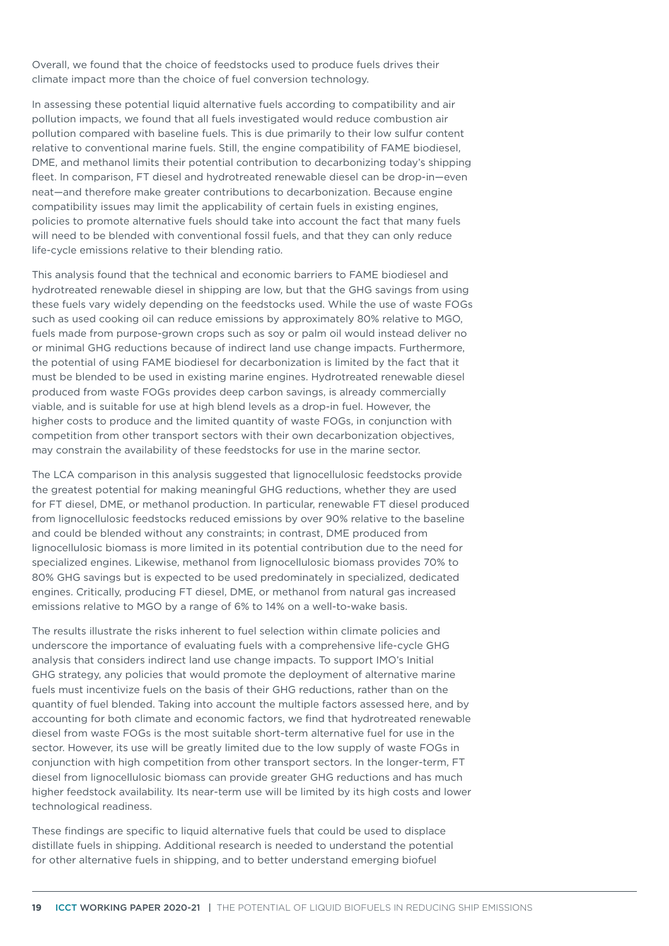Overall, we found that the choice of feedstocks used to produce fuels drives their climate impact more than the choice of fuel conversion technology.

In assessing these potential liquid alternative fuels according to compatibility and air pollution impacts, we found that all fuels investigated would reduce combustion air pollution compared with baseline fuels. This is due primarily to their low sulfur content relative to conventional marine fuels. Still, the engine compatibility of FAME biodiesel, DME, and methanol limits their potential contribution to decarbonizing today's shipping fleet. In comparison, FT diesel and hydrotreated renewable diesel can be drop-in—even neat—and therefore make greater contributions to decarbonization. Because engine compatibility issues may limit the applicability of certain fuels in existing engines, policies to promote alternative fuels should take into account the fact that many fuels will need to be blended with conventional fossil fuels, and that they can only reduce life-cycle emissions relative to their blending ratio.

This analysis found that the technical and economic barriers to FAME biodiesel and hydrotreated renewable diesel in shipping are low, but that the GHG savings from using these fuels vary widely depending on the feedstocks used. While the use of waste FOGs such as used cooking oil can reduce emissions by approximately 80% relative to MGO, fuels made from purpose-grown crops such as soy or palm oil would instead deliver no or minimal GHG reductions because of indirect land use change impacts. Furthermore, the potential of using FAME biodiesel for decarbonization is limited by the fact that it must be blended to be used in existing marine engines. Hydrotreated renewable diesel produced from waste FOGs provides deep carbon savings, is already commercially viable, and is suitable for use at high blend levels as a drop-in fuel. However, the higher costs to produce and the limited quantity of waste FOGs, in conjunction with competition from other transport sectors with their own decarbonization objectives, may constrain the availability of these feedstocks for use in the marine sector.

The LCA comparison in this analysis suggested that lignocellulosic feedstocks provide the greatest potential for making meaningful GHG reductions, whether they are used for FT diesel, DME, or methanol production. In particular, renewable FT diesel produced from lignocellulosic feedstocks reduced emissions by over 90% relative to the baseline and could be blended without any constraints; in contrast, DME produced from lignocellulosic biomass is more limited in its potential contribution due to the need for specialized engines. Likewise, methanol from lignocellulosic biomass provides 70% to 80% GHG savings but is expected to be used predominately in specialized, dedicated engines. Critically, producing FT diesel, DME, or methanol from natural gas increased emissions relative to MGO by a range of 6% to 14% on a well-to-wake basis.

The results illustrate the risks inherent to fuel selection within climate policies and underscore the importance of evaluating fuels with a comprehensive life-cycle GHG analysis that considers indirect land use change impacts. To support IMO's Initial GHG strategy, any policies that would promote the deployment of alternative marine fuels must incentivize fuels on the basis of their GHG reductions, rather than on the quantity of fuel blended. Taking into account the multiple factors assessed here, and by accounting for both climate and economic factors, we find that hydrotreated renewable diesel from waste FOGs is the most suitable short-term alternative fuel for use in the sector. However, its use will be greatly limited due to the low supply of waste FOGs in conjunction with high competition from other transport sectors. In the longer-term, FT diesel from lignocellulosic biomass can provide greater GHG reductions and has much higher feedstock availability. Its near-term use will be limited by its high costs and lower technological readiness.

These findings are specific to liquid alternative fuels that could be used to displace distillate fuels in shipping. Additional research is needed to understand the potential for other alternative fuels in shipping, and to better understand emerging biofuel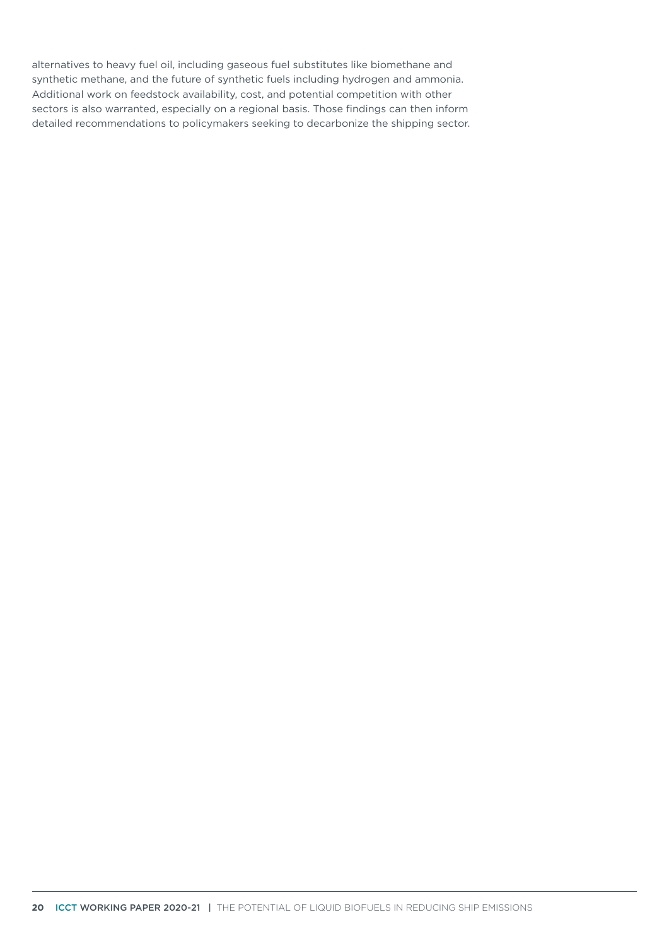alternatives to heavy fuel oil, including gaseous fuel substitutes like biomethane and synthetic methane, and the future of synthetic fuels including hydrogen and ammonia. Additional work on feedstock availability, cost, and potential competition with other sectors is also warranted, especially on a regional basis. Those findings can then inform detailed recommendations to policymakers seeking to decarbonize the shipping sector.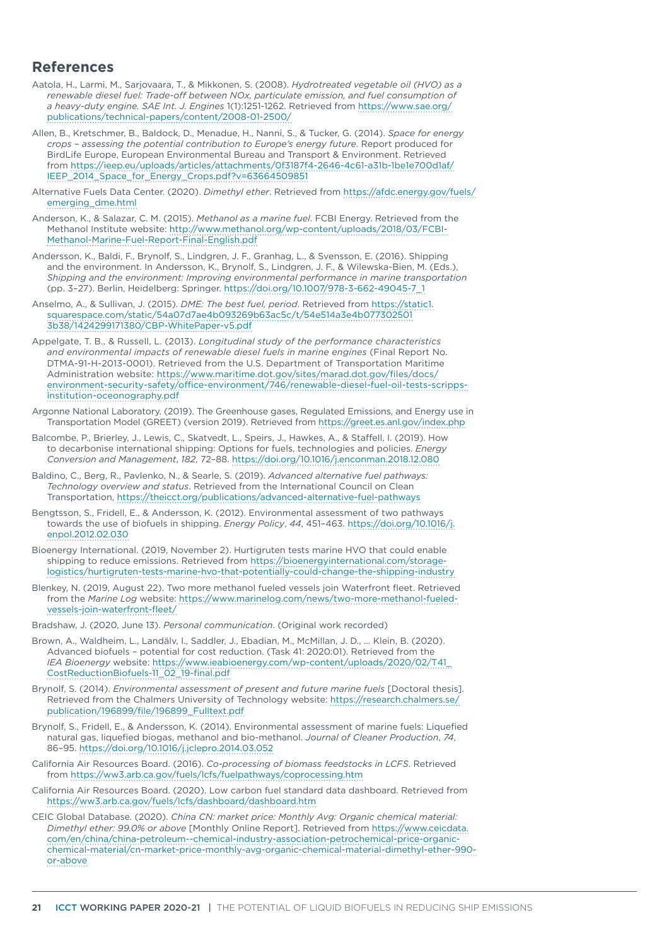#### **References**

- Aatola, H., Larmi, M., Sarjovaara, T., & Mikkonen, S. (2008). *Hydrotreated vegetable oil (HVO) as a renewable diesel fuel: Trade-off between NOx, particulate emission, and fuel consumption of a heavy-duty engine. SAE Int. J. Engines* 1(1):1251-1262. Retrieved from [https://www.sae.org/](https://www.sae.org/publications/technical-papers/content/2008-01-2500/) [publications/technical-papers/content/2008-01-2500/](https://www.sae.org/publications/technical-papers/content/2008-01-2500/)
- Allen, B., Kretschmer, B., Baldock, D., Menadue, H., Nanni, S., & Tucker, G. (2014). *Space for energy crops – assessing the potential contribution to Europe's energy future*. Report produced for BirdLife Europe, European Environmental Bureau and Transport & Environment. Retrieved from [https://ieep.eu/uploads/articles/attachments/0f3187f4-2646-4c61-a31b-1be1e700d1af/](https://ieep.eu/uploads/articles/attachments/0f3187f4-2646-4c61-a31b-1be1e700d1af/IEEP_2014_Space_for_Energy_Crops.pdf?v=63664509851) [IEEP\\_2014\\_Space\\_for\\_Energy\\_Crops.pdf?v=63664509851](https://ieep.eu/uploads/articles/attachments/0f3187f4-2646-4c61-a31b-1be1e700d1af/IEEP_2014_Space_for_Energy_Crops.pdf?v=63664509851)
- Alternative Fuels Data Center. (2020). *Dimethyl ether*. Retrieved from [https://afdc.energy.gov/fuels/](https://afdc.energy.gov/fuels/emerging_dme.html) [emerging\\_dme.html](https://afdc.energy.gov/fuels/emerging_dme.html)
- Anderson, K., & Salazar, C. M. (2015). *Methanol as a marine fuel*. FCBI Energy. Retrieved from the Methanol Institute website: [http://www.methanol.org/wp-content/uploads/2018/03/FCBI-](http://www.methanol.org/wp-content/uploads/2018/03/FCBI-Methanol-Marine-Fuel-Report-Final-English.pdf)[Methanol-Marine-Fuel-Report-Final-English.pdf](http://www.methanol.org/wp-content/uploads/2018/03/FCBI-Methanol-Marine-Fuel-Report-Final-English.pdf)
- Andersson, K., Baldi, F., Brynolf, S., Lindgren, J. F., Granhag, L., & Svensson, E. (2016). Shipping and the environment. In Andersson, K., Brynolf, S., Lindgren, J. F., & Wilewska-Bien, M. (Eds.), *Shipping and the environment: Improving environmental performance in marine transportation* (pp. 3–27). Berlin, Heidelberg: Springer. [https://doi.org/10.1007/978-3-662-49045-7\\_1](https://doi.org/10.1007/978-3-662-49045-7_1)
- Anselmo, A., & Sullivan, J. (2015). *DME: The best fuel, period*. Retrieved from [https://static1.](https://static1.squarespace.com/static/54a07d7ae4b093269b63ac5c/t/54e514a3e4b0773025013b38/1424299171380/CBP-WhitePaper-v5.pdf) [squarespace.com/static/54a07d7ae4b093269b63ac5c/t/54e514a3e4b077302501](https://static1.squarespace.com/static/54a07d7ae4b093269b63ac5c/t/54e514a3e4b0773025013b38/1424299171380/CBP-WhitePaper-v5.pdf) [3b38/1424299171380/CBP-WhitePaper-v5.pdf](https://static1.squarespace.com/static/54a07d7ae4b093269b63ac5c/t/54e514a3e4b0773025013b38/1424299171380/CBP-WhitePaper-v5.pdf)
- Appelgate, T. B., & Russell, L. (2013). *Longitudinal study of the performance characteristics and environmental impacts of renewable diesel fuels in marine engines* (Final Report No. DTMA-91-H-2013-0001). Retrieved from the U.S. Department of Transportation Maritime Administration website: [https://www.maritime.dot.gov/sites/marad.dot.gov/files/docs/](https://www.maritime.dot.gov/sites/marad.dot.gov/files/docs/environment-security-safety/office-environment/746/renewable-diesel-fuel-oil-tests-scripps-institution-oceonography.pdf) [environment-security-safety/office-environment/746/renewable-diesel-fuel-oil-tests-scripps](https://www.maritime.dot.gov/sites/marad.dot.gov/files/docs/environment-security-safety/office-environment/746/renewable-diesel-fuel-oil-tests-scripps-institution-oceonography.pdf)[institution-oceonography.pdf](https://www.maritime.dot.gov/sites/marad.dot.gov/files/docs/environment-security-safety/office-environment/746/renewable-diesel-fuel-oil-tests-scripps-institution-oceonography.pdf)
- Argonne National Laboratory. (2019). The Greenhouse gases, Regulated Emissions, and Energy use in Transportation Model (GREET) (version 2019). Retrieved from <https://greet.es.anl.gov/index.php>
- Balcombe, P., Brierley, J., Lewis, C., Skatvedt, L., Speirs, J., Hawkes, A., & Staffell, I. (2019). How to decarbonise international shipping: Options for fuels, technologies and policies. *Energy Conversion and Management*, *182*, 72–88. <https://doi.org/10.1016/j.enconman.2018.12.080>
- Baldino, C., Berg, R., Pavlenko, N., & Searle, S. (2019). *Advanced alternative fuel pathways: Technology overview and status*. Retrieved from the International Council on Clean Transportation,<https://theicct.org/publications/advanced-alternative-fuel-pathways>
- Bengtsson, S., Fridell, E., & Andersson, K. (2012). Environmental assessment of two pathways towards the use of biofuels in shipping. *Energy Policy*, *44*, 451–463. [https://doi.org/10.1016/j.](https://doi.org/10.1016/j.enpol.2012.02.030) [enpol.2012.02.030](https://doi.org/10.1016/j.enpol.2012.02.030)
- Bioenergy International. (2019, November 2). Hurtigruten tests marine HVO that could enable shipping to reduce emissions. Retrieved from [https://bioenergyinternational.com/storage](https://bioenergyinternational.com/storage-logistics/hurtigruten-tests-marine-hvo-that-potentially-could-change-the-shipping-industry)[logistics/hurtigruten-tests-marine-hvo-that-potentially-could-change-the-shipping-industry](https://bioenergyinternational.com/storage-logistics/hurtigruten-tests-marine-hvo-that-potentially-could-change-the-shipping-industry)
- Blenkey, N. (2019, August 22). Two more methanol fueled vessels join Waterfront fleet. Retrieved from the *Marine Log* website: [https://www.marinelog.com/news/two-more-methanol-fueled](https://www.marinelog.com/news/two-more-methanol-fueled-vessels-join-waterfront-fleet/)[vessels-join-waterfront-fleet/](https://www.marinelog.com/news/two-more-methanol-fueled-vessels-join-waterfront-fleet/)
- Bradshaw, J. (2020, June 13). *Personal communication*. (Original work recorded)
- Brown, A., Waldheim, L., Landälv, I., Saddler, J., Ebadian, M., McMillan, J. D., … Klein, B. (2020). Advanced biofuels – potential for cost reduction. (Task 41: 2020:01). Retrieved from the *IEA Bioenergy* website: [https://www.ieabioenergy.com/wp-content/uploads/2020/02/T41\\_](https://www.ieabioenergy.com/wp-content/uploads/2020/02/T41_CostReductionBiofuels-11_02_19-final.pdf) [CostReductionBiofuels-11\\_02\\_19-final.pdf](https://www.ieabioenergy.com/wp-content/uploads/2020/02/T41_CostReductionBiofuels-11_02_19-final.pdf)
- Brynolf, S. (2014). *Environmental assessment of present and future marine fuels* [Doctoral thesis]. Retrieved from the Chalmers University of Technology website: [https://research.chalmers.se/](https://research.chalmers.se/publication/196899/file/196899_Fulltext.pdf) [publication/196899/file/196899\\_Fulltext.pdf](https://research.chalmers.se/publication/196899/file/196899_Fulltext.pdf)
- Brynolf, S., Fridell, E., & Andersson, K. (2014). Environmental assessment of marine fuels: Liquefied natural gas, liquefied biogas, methanol and bio-methanol. *Journal of Cleaner Production*, *74*, 86–95. <https://doi.org/10.1016/j.jclepro.2014.03.052>
- California Air Resources Board. (2016). *Co-processing of biomass feedstocks in LCFS*. Retrieved from <https://ww3.arb.ca.gov/fuels/lcfs/fuelpathways/coprocessing.htm>
- California Air Resources Board. (2020). Low carbon fuel standard data dashboard. Retrieved from <https://ww3.arb.ca.gov/fuels/lcfs/dashboard/dashboard.htm>
- CEIC Global Database. (2020). *China CN: market price: Monthly Avg: Organic chemical material: Dimethyl ether: 99.0% or above* [Monthly Online Report]. Retrieved from [https://www.ceicdata.](https://www.ceicdata.com/en/china/china-petroleum--chemical-industry-association-petrochemical-price-organic-chemical-material/cn-market-price-monthly-avg-organic-chemical-material-dimethyl-ether-990-or-above) [com/en/china/china-petroleum--chemical-industry-association-petrochemical-price-organic](https://www.ceicdata.com/en/china/china-petroleum--chemical-industry-association-petrochemical-price-organic-chemical-material/cn-market-price-monthly-avg-organic-chemical-material-dimethyl-ether-990-or-above)[chemical-material/cn-market-price-monthly-avg-organic-chemical-material-dimethyl-ether-990](https://www.ceicdata.com/en/china/china-petroleum--chemical-industry-association-petrochemical-price-organic-chemical-material/cn-market-price-monthly-avg-organic-chemical-material-dimethyl-ether-990-or-above) [or-above](https://www.ceicdata.com/en/china/china-petroleum--chemical-industry-association-petrochemical-price-organic-chemical-material/cn-market-price-monthly-avg-organic-chemical-material-dimethyl-ether-990-or-above)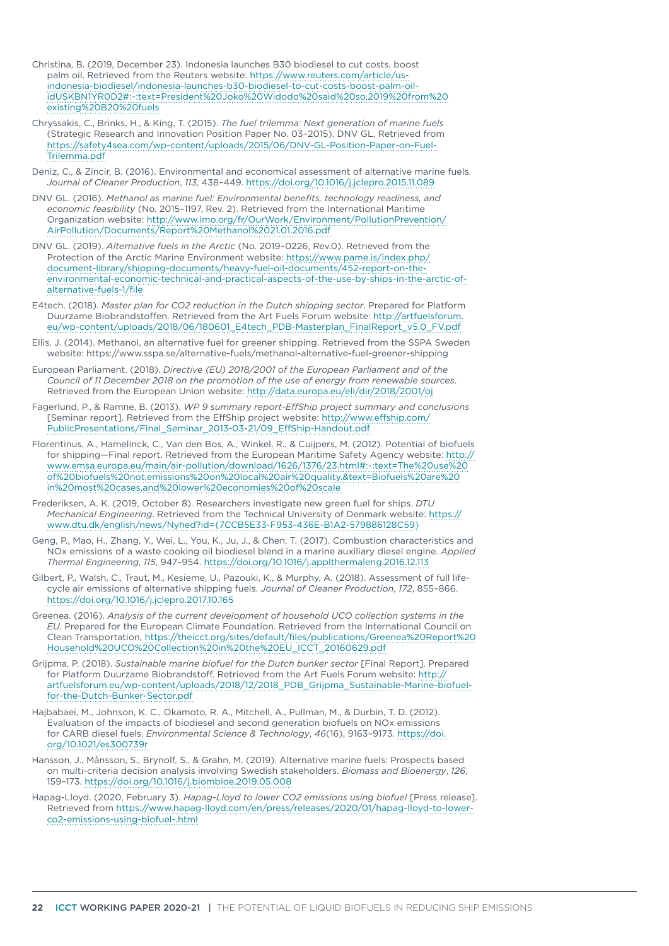- Christina, B. (2019, December 23). Indonesia launches B30 biodiesel to cut costs, boost palm oil. Retrieved from the Reuters website: [https://www.reuters.com/article/us](https://www.reuters.com/article/us-indonesia-biodiesel/indonesia-launches-b30-biodiesel-to-cut-costs-boost-palm-oil-idUSKBN1YR0D2#:~:text=President%20Joko%20Widodo%20said%20so,2019%20from%20existing%20B20%20fuels)[indonesia-biodiesel/indonesia-launches-b30-biodiesel-to-cut-costs-boost-palm-oil](https://www.reuters.com/article/us-indonesia-biodiesel/indonesia-launches-b30-biodiesel-to-cut-costs-boost-palm-oil-idUSKBN1YR0D2#:~:text=President%20Joko%20Widodo%20said%20so,2019%20from%20existing%20B20%20fuels)[idUSKBN1YR0D2#:~:text=President%20Joko%20Widodo%20said%20so,2019%20from%20](https://www.reuters.com/article/us-indonesia-biodiesel/indonesia-launches-b30-biodiesel-to-cut-costs-boost-palm-oil-idUSKBN1YR0D2#:~:text=President%20Joko%20Widodo%20said%20so,2019%20from%20existing%20B20%20fuels) [existing%20B20%20fuels](https://www.reuters.com/article/us-indonesia-biodiesel/indonesia-launches-b30-biodiesel-to-cut-costs-boost-palm-oil-idUSKBN1YR0D2#:~:text=President%20Joko%20Widodo%20said%20so,2019%20from%20existing%20B20%20fuels)
- Chryssakis, C., Brinks, H., & King, T. (2015). *The fuel trilemma: Next generation of marine fuels* (Strategic Research and Innovation Position Paper No. 03–2015). DNV GL. Retrieved from [https://safety4sea.com/wp-content/uploads/2015/06/DNV-GL-Position-Paper-on-Fuel-](https://safety4sea.com/wp-content/uploads/2015/06/DNV-GL-Position-Paper-on-Fuel-Trilemma.pdf)[Trilemma.pdf](https://safety4sea.com/wp-content/uploads/2015/06/DNV-GL-Position-Paper-on-Fuel-Trilemma.pdf)
- Deniz, C., & Zincir, B. (2016). Environmental and economical assessment of alternative marine fuels. *Journal of Cleaner Production*, *113*, 438–449.<https://doi.org/10.1016/j.jclepro.2015.11.089>
- DNV GL. (2016). *Methanol as marine fuel: Environmental benefits, technology readiness, and economic feasibility* (No. 2015–1197, Rev. 2). Retrieved from the International Maritime Organization website: [http://www.imo.org/fr/OurWork/Environment/PollutionPrevention/](http://www.imo.org/fr/OurWork/Environment/PollutionPrevention/AirPollution/Documents/Report%20Methanol%2021.01.2016.pdf) [AirPollution/Documents/Report%20Methanol%2021.01.2016.pdf](http://www.imo.org/fr/OurWork/Environment/PollutionPrevention/AirPollution/Documents/Report%20Methanol%2021.01.2016.pdf)
- DNV GL. (2019). *Alternative fuels in the Arctic* (No. 2019–0226, Rev.0). Retrieved from the Protection of the Arctic Marine Environment website: [https://www.pame.is/index.php/](https://www.pame.is/index.php/document-library/shipping-documents/heavy-fuel-oil-documents/452-report-on-the-environmental-economic-technical-and-practical-aspects-of-the-use-by-ships-in-the-arctic-of-alternative-fuels-1/file) [document-library/shipping-documents/heavy-fuel-oil-documents/452-report-on-the](https://www.pame.is/index.php/document-library/shipping-documents/heavy-fuel-oil-documents/452-report-on-the-environmental-economic-technical-and-practical-aspects-of-the-use-by-ships-in-the-arctic-of-alternative-fuels-1/file)[environmental-economic-technical-and-practical-aspects-of-the-use-by-ships-in-the-arctic-of](https://www.pame.is/index.php/document-library/shipping-documents/heavy-fuel-oil-documents/452-report-on-the-environmental-economic-technical-and-practical-aspects-of-the-use-by-ships-in-the-arctic-of-alternative-fuels-1/file)[alternative-fuels-1/file](https://www.pame.is/index.php/document-library/shipping-documents/heavy-fuel-oil-documents/452-report-on-the-environmental-economic-technical-and-practical-aspects-of-the-use-by-ships-in-the-arctic-of-alternative-fuels-1/file)
- E4tech. (2018). *Master plan for CO2 reduction in the Dutch shipping sector*. Prepared for Platform Duurzame Biobrandstoffen. Retrieved from the Art Fuels Forum website: [http://artfuelsforum.](http://artfuelsforum.eu/wp-content/uploads/2018/06/180601_E4tech_PDB-Masterplan_FinalReport_v5.0_FV.pdf) [eu/wp-content/uploads/2018/06/180601\\_E4tech\\_PDB-Masterplan\\_FinalReport\\_v5.0\\_FV.pdf](http://artfuelsforum.eu/wp-content/uploads/2018/06/180601_E4tech_PDB-Masterplan_FinalReport_v5.0_FV.pdf)
- Ellis, J. (2014). Methanol, an alternative fuel for greener shipping. Retrieved from the SSPA Sweden website: https://www.sspa.se/alternative-fuels/methanol-alternative-fuel-greener-shipping
- European Parliament. (2018). *Directive (EU) 2018/2001 of the European Parliament and of the Council of 11 December 2018 on the promotion of the use of energy from renewable sources*. Retrieved from the European Union website: <http://data.europa.eu/eli/dir/2018/2001/oj>
- Fagerlund, P., & Ramne, B. (2013). *WP 9 summary report-EffShip project summary and conclusions* [Seminar report]. Retrieved from the EffShip project website: [http://www.effship.com/](http://www.effship.com/PublicPresentations/Final_Seminar_2013-03-21/09_EffShip-Handout.pdf) [PublicPresentations/Final\\_Seminar\\_2013-03-21/09\\_EffShip-Handout.pdf](http://www.effship.com/PublicPresentations/Final_Seminar_2013-03-21/09_EffShip-Handout.pdf)
- Florentinus, A., Hamelinck, C., Van den Bos, A., Winkel, R., & Cuijpers, M. (2012). Potential of biofuels for shipping—Final report. Retrieved from the European Maritime Safety Agency website: [http://](http://www.emsa.europa.eu/main/air-pollution/download/1626/1376/23.html#:~:text=The%20use%20of%20biofuels%20not,emissions%20on%20local%20air%20quality.&text=Biofuels%20are%20in%20most%20cases,and%20lower%20economies%20of%20scale) [www.emsa.europa.eu/main/air-pollution/download/1626/1376/23.html#:~:text=The%20use%20](http://www.emsa.europa.eu/main/air-pollution/download/1626/1376/23.html#:~:text=The%20use%20of%20biofuels%20not,emissions%20on%20local%20air%20quality.&text=Biofuels%20are%20in%20most%20cases,and%20lower%20economies%20of%20scale) [of%20biofuels%20not,emissions%20on%20local%20air%20quality.&text=Biofuels%20are%20](http://www.emsa.europa.eu/main/air-pollution/download/1626/1376/23.html#:~:text=The%20use%20of%20biofuels%20not,emissions%20on%20local%20air%20quality.&text=Biofuels%20are%20in%20most%20cases,and%20lower%20economies%20of%20scale) [in%20most%20cases,and%20lower%20economies%20of%20scale](http://www.emsa.europa.eu/main/air-pollution/download/1626/1376/23.html#:~:text=The%20use%20of%20biofuels%20not,emissions%20on%20local%20air%20quality.&text=Biofuels%20are%20in%20most%20cases,and%20lower%20economies%20of%20scale)
- Frederiksen, A. K. (2019, October 8). Researchers investigate new green fuel for ships. *DTU Mechanical Engineering*. Retrieved from the Technical University of Denmark website: [https://](https://www.dtu.dk/english/news/Nyhed?id={7CCB5E33-F953-436E-B1A2-579886128C59}) [www.dtu.dk/english/news/Nyhed?id={7CCB5E33-F953-436E-B1A2-579886128C59}](https://www.dtu.dk/english/news/Nyhed?id={7CCB5E33-F953-436E-B1A2-579886128C59})
- Geng, P., Mao, H., Zhang, Y., Wei, L., You, K., Ju, J., & Chen, T. (2017). Combustion characteristics and NOx emissions of a waste cooking oil biodiesel blend in a marine auxiliary diesel engine. *Applied Thermal Engineering*, *115*, 947–954. <https://doi.org/10.1016/j.applthermaleng.2016.12.113>
- Gilbert, P., Walsh, C., Traut, M., Kesieme, U., Pazouki, K., & Murphy, A. (2018). Assessment of full lifecycle air emissions of alternative shipping fuels. *Journal of Cleaner Production*, *172*, 855–866. <https://doi.org/10.1016/j.jclepro.2017.10.165>
- Greenea. (2016). *Analysis of the current development of household UCO collection systems in the EU*. Prepared for the European Climate Foundation. Retrieved from the International Council on Clean Transportation, [https://theicct.org/sites/default/files/publications/Greenea%20Report%20](https://theicct.org/sites/default/files/publications/Greenea%20Report%20Household%20UCO%20Collection%20in%20the%20EU_ICCT_20160629.pdf) [Household%20UCO%20Collection%20in%20the%20EU\\_ICCT\\_20160629.pdf](https://theicct.org/sites/default/files/publications/Greenea%20Report%20Household%20UCO%20Collection%20in%20the%20EU_ICCT_20160629.pdf)
- Grijpma, P. (2018). *Sustainable marine biofuel for the Dutch bunker sector* [Final Report]. Prepared for Platform Duurzame Biobrandstoff. Retrieved from the Art Fuels Forum website: [http://](http://artfuelsforum.eu/wp-content/uploads/2018/12/2018_PDB_Grijpma_Sustainable-Marine-biofuel-for-the-Dutch-Bunker-Sector.pdf) [artfuelsforum.eu/wp-content/uploads/2018/12/2018\\_PDB\\_Grijpma\\_Sustainable-Marine-biofuel](http://artfuelsforum.eu/wp-content/uploads/2018/12/2018_PDB_Grijpma_Sustainable-Marine-biofuel-for-the-Dutch-Bunker-Sector.pdf)[for-the-Dutch-Bunker-Sector.pdf](http://artfuelsforum.eu/wp-content/uploads/2018/12/2018_PDB_Grijpma_Sustainable-Marine-biofuel-for-the-Dutch-Bunker-Sector.pdf)
- Hajbabaei, M., Johnson, K. C., Okamoto, R. A., Mitchell, A., Pullman, M., & Durbin, T. D. (2012). Evaluation of the impacts of biodiesel and second generation biofuels on NOx emissions for CARB diesel fuels. *Environmental Science & Technology*, *46*(16), 9163–9173. [https://doi.](https://doi.org/10.1021/es300739r) [org/10.1021/es300739r](https://doi.org/10.1021/es300739r)
- Hansson, J., Månsson, S., Brynolf, S., & Grahn, M. (2019). Alternative marine fuels: Prospects based on multi-criteria decision analysis involving Swedish stakeholders. *Biomass and Bioenergy*, *126*, 159–173.<https://doi.org/10.1016/j.biombioe.2019.05.008>
- Hapag-Lloyd. (2020, February 3). *Hapag-Lloyd to lower CO2 emissions using biofuel* [Press release]. Retrieved from [https://www.hapag-lloyd.com/en/press/releases/2020/01/hapag-lloyd-to-lower](https://www.hapag-lloyd.com/en/press/releases/2020/01/hapag-lloyd-to-lower-co2-emissions-using-biofuel-.html)[co2-emissions-using-biofuel-.html](https://www.hapag-lloyd.com/en/press/releases/2020/01/hapag-lloyd-to-lower-co2-emissions-using-biofuel-.html)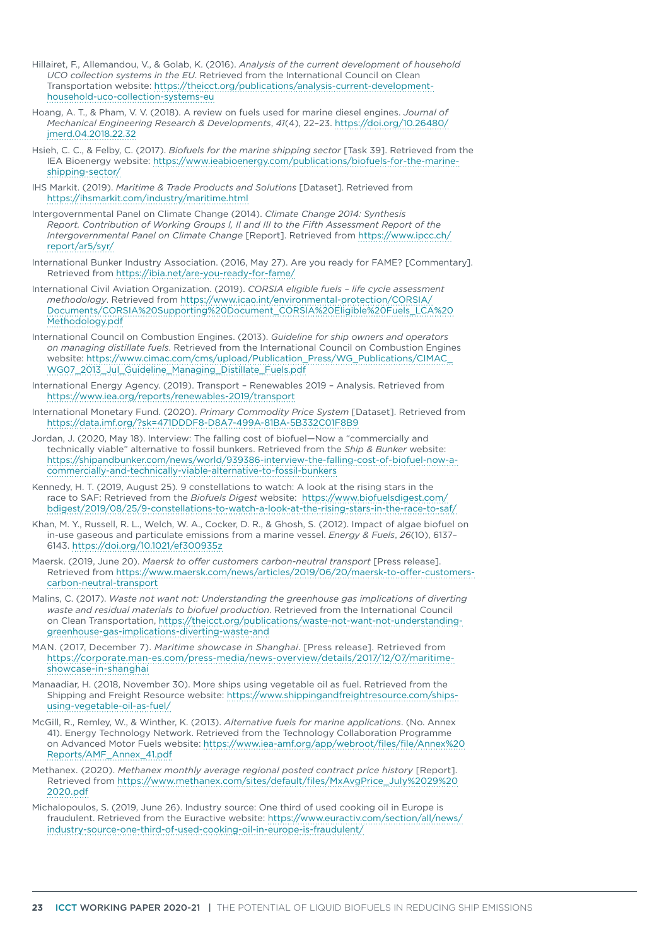- Hillairet, F., Allemandou, V., & Golab, K. (2016). *Analysis of the current development of household UCO collection systems in the EU*. Retrieved from the International Council on Clean Transportation website: [https://theicct.org/publications/analysis-current-development](https://theicct.org/publications/analysis-current-development-household-uco-collection-systems-eu)[household-uco-collection-systems-eu](https://theicct.org/publications/analysis-current-development-household-uco-collection-systems-eu)
- Hoang, A. T., & Pham, V. V. (2018). A review on fuels used for marine diesel engines. *Journal of Mechanical Engineering Research & Developments*, *41*(4), 22–23. [https://doi.org/10.26480/](https://doi.org/10.26480/jmerd.04.2018.22.32) [jmerd.04.2018.22.32](https://doi.org/10.26480/jmerd.04.2018.22.32)
- Hsieh, C. C., & Felby, C. (2017). *Biofuels for the marine shipping sector* [Task 39]. Retrieved from the IEA Bioenergy website: [https://www.ieabioenergy.com/publications/biofuels-for-the-marine](https://www.ieabioenergy.com/publications/biofuels-for-the-marine-shipping-sector/)[shipping-sector/](https://www.ieabioenergy.com/publications/biofuels-for-the-marine-shipping-sector/)
- IHS Markit. (2019). *Maritime & Trade Products and Solutions* [Dataset]. Retrieved from <https://ihsmarkit.com/industry/maritime.html>
- Intergovernmental Panel on Climate Change (2014). *Climate Change 2014: Synthesis Report. Contribution of Working Groups I, II and III to the Fifth Assessment Report of the Intergovernmental Panel on Climate Change* [Report]. Retrieved from https://www.ipcc.ch/ report/ar5/syr/
- International Bunker Industry Association. (2016, May 27). Are you ready for FAME? [Commentary]. Retrieved from<https://ibia.net/are-you-ready-for-fame/>
- International Civil Aviation Organization. (2019). *CORSIA eligible fuels life cycle assessment methodology*. Retrieved from [https://www.icao.int/environmental-protection/CORSIA/](https://www.icao.int/environmental-protection/CORSIA/Documents/CORSIA%20Supporting%20Document_CORSIA%20Eligible%20Fuels_LCA%20Methodology.pdf) [Documents/CORSIA%20Supporting%20Document\\_CORSIA%20Eligible%20Fuels\\_LCA%20](https://www.icao.int/environmental-protection/CORSIA/Documents/CORSIA%20Supporting%20Document_CORSIA%20Eligible%20Fuels_LCA%20Methodology.pdf) [Methodology.pdf](https://www.icao.int/environmental-protection/CORSIA/Documents/CORSIA%20Supporting%20Document_CORSIA%20Eligible%20Fuels_LCA%20Methodology.pdf)
- International Council on Combustion Engines. (2013). *Guideline for ship owners and operators on managing distillate fuels*. Retrieved from the International Council on Combustion Engines website: [https://www.cimac.com/cms/upload/Publication\\_Press/WG\\_Publications/CIMAC\\_](https://www.cimac.com/cms/upload/Publication_Press/WG_Publications/CIMAC_WG07_2013_Jul_Guideline_Managing_Distillate_Fuels.pdf) [WG07\\_2013\\_Jul\\_Guideline\\_Managing\\_Distillate\\_Fuels.pdf](https://www.cimac.com/cms/upload/Publication_Press/WG_Publications/CIMAC_WG07_2013_Jul_Guideline_Managing_Distillate_Fuels.pdf)
- International Energy Agency. (2019). Transport Renewables 2019 Analysis. Retrieved from <https://www.iea.org/reports/renewables-2019/transport>
- International Monetary Fund. (2020). *Primary Commodity Price System* [Dataset]. Retrieved from <https://data.imf.org/?sk=471DDDF8-D8A7-499A-81BA-5B332C01F8B9>
- Jordan, J. (2020, May 18). Interview: The falling cost of biofuel—Now a "commercially and technically viable" alternative to fossil bunkers. Retrieved from the *Ship & Bunker* website: [https://shipandbunker.com/news/world/939386-interview-the-falling-cost-of-biofuel-now-a](https://shipandbunker.com/news/world/939386-interview-the-falling-cost-of-biofuel-now-a-commercially-and-technically-viable-alternative-to-fossil-bunkers)[commercially-and-technically-viable-alternative-to-fossil-bunkers](https://shipandbunker.com/news/world/939386-interview-the-falling-cost-of-biofuel-now-a-commercially-and-technically-viable-alternative-to-fossil-bunkers)
- Kennedy, H. T. (2019, August 25). 9 constellations to watch: A look at the rising stars in the race to SAF: Retrieved from the *Biofuels Digest* website: [https://www.biofuelsdigest.com/](https://www.biofuelsdigest.com/bdigest/2019/08/25/9-constellations-to-watch-a-look-at-the-rising-stars-in-the-race-to-saf/) [bdigest/2019/08/25/9-constellations-to-watch-a-look-at-the-rising-stars-in-the-race-to-saf/](https://www.biofuelsdigest.com/bdigest/2019/08/25/9-constellations-to-watch-a-look-at-the-rising-stars-in-the-race-to-saf/)
- Khan, M. Y., Russell, R. L., Welch, W. A., Cocker, D. R., & Ghosh, S. (2012). Impact of algae biofuel on in-use gaseous and particulate emissions from a marine vessel. *Energy & Fuels*, *26*(10), 6137– 6143.<https://doi.org/10.1021/ef300935z>
- Maersk. (2019, June 20). *Maersk to offer customers carbon-neutral transport* [Press release]. Retrieved from [https://www.maersk.com/news/articles/2019/06/20/maersk-to-offer-customers](https://www.maersk.com/news/articles/2019/06/20/maersk-to-offer-customers-carbon-neutral-transport)[carbon-neutral-transport](https://www.maersk.com/news/articles/2019/06/20/maersk-to-offer-customers-carbon-neutral-transport)
- Malins, C. (2017). *Waste not want not: Understanding the greenhouse gas implications of diverting waste and residual materials to biofuel production*. Retrieved from the International Council on Clean Transportation, [https://theicct.org/publications/waste-not-want-not-understanding](https://theicct.org/publications/waste-not-want-not-understanding-greenhouse-gas-implications-diverting-waste-and)[greenhouse-gas-implications-diverting-waste-and](https://theicct.org/publications/waste-not-want-not-understanding-greenhouse-gas-implications-diverting-waste-and)
- MAN. (2017, December 7). *Maritime showcase in Shanghai*. [Press release]. Retrieved from [https://corporate.man-es.com/press-media/news-overview/details/2017/12/07/maritime](https://corporate.man-es.com/press-media/news-overview/details/2017/12/07/maritime-showcase-in-shanghai)[showcase-in-shanghai](https://corporate.man-es.com/press-media/news-overview/details/2017/12/07/maritime-showcase-in-shanghai)
- Manaadiar, H. (2018, November 30). More ships using vegetable oil as fuel. Retrieved from the Shipping and Freight Resource website: [https://www.shippingandfreightresource.com/ships](https://www.shippingandfreightresource.com/ships-using-vegetable-oil-as-fuel/)[using-vegetable-oil-as-fuel/](https://www.shippingandfreightresource.com/ships-using-vegetable-oil-as-fuel/)
- McGill, R., Remley, W., & Winther, K. (2013). *Alternative fuels for marine applications*. (No. Annex 41). Energy Technology Network. Retrieved from the Technology Collaboration Programme on Advanced Motor Fuels website: [https://www.iea-amf.org/app/webroot/files/file/Annex%20](https://www.iea-amf.org/app/webroot/files/file/Annex%20Reports/AMF_Annex_41.pdf) [Reports/AMF\\_Annex\\_41.pdf](https://www.iea-amf.org/app/webroot/files/file/Annex%20Reports/AMF_Annex_41.pdf)
- Methanex. (2020). *Methanex monthly average regional posted contract price history* [Report]. Retrieved from [https://www.methanex.com/sites/default/files/MxAvgPrice\\_July%2029%20](https://www.methanex.com/sites/default/files/MxAvgPrice_July%2029%202020.pdf) [2020.pdf](https://www.methanex.com/sites/default/files/MxAvgPrice_July%2029%202020.pdf)
- Michalopoulos, S. (2019, June 26). Industry source: One third of used cooking oil in Europe is fraudulent. Retrieved from the Euractive website: [https://www.euractiv.com/section/all/news/](https://www.euractiv.com/section/all/news/industry-source-one-third-of-used-cooking-oil-in-europe-is-fraudulent/) [industry-source-one-third-of-used-cooking-oil-in-europe-is-fraudulent/](https://www.euractiv.com/section/all/news/industry-source-one-third-of-used-cooking-oil-in-europe-is-fraudulent/)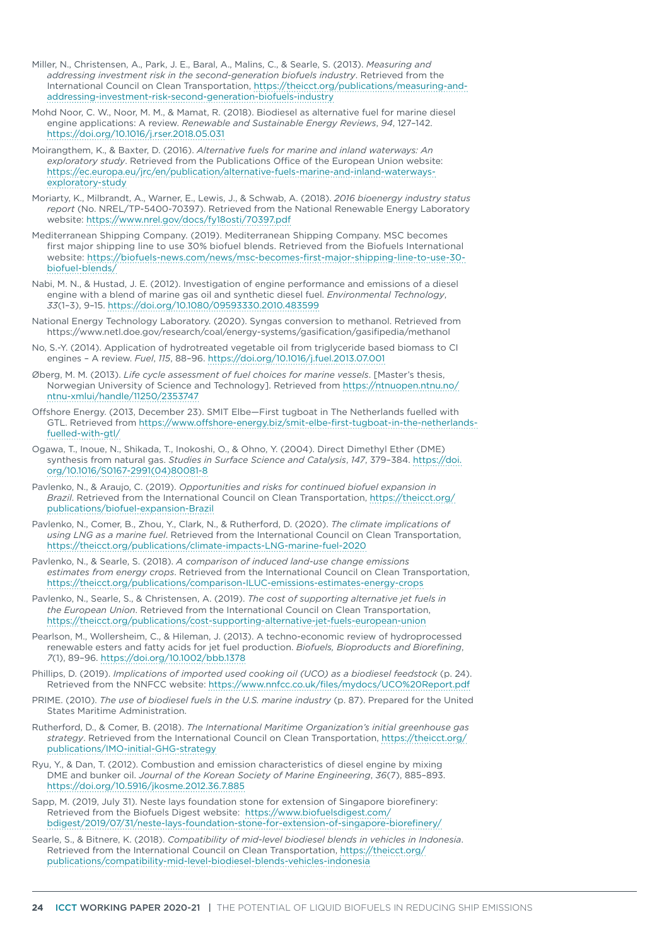- Miller, N., Christensen, A., Park, J. E., Baral, A., Malins, C., & Searle, S. (2013). *Measuring and addressing investment risk in the second-generation biofuels industry*. Retrieved from the International Council on Clean Transportation, [https://theicct.org/publications/measuring-and](https://theicct.org/publications/measuring-and-addressing-investment-risk-second-generation-biofuels-industry)[addressing-investment-risk-second-generation-biofuels-industry](https://theicct.org/publications/measuring-and-addressing-investment-risk-second-generation-biofuels-industry)
- Mohd Noor, C. W., Noor, M. M., & Mamat, R. (2018). Biodiesel as alternative fuel for marine diesel engine applications: A review. *Renewable and Sustainable Energy Reviews*, *94*, 127–142. <https://doi.org/10.1016/j.rser.2018.05.031>
- Moirangthem, K., & Baxter, D. (2016). *Alternative fuels for marine and inland waterways: An exploratory study*. Retrieved from the Publications Office of the European Union website: [https://ec.europa.eu/jrc/en/publication/alternative-fuels-marine-and-inland-waterways](https://ec.europa.eu/jrc/en/publication/alternative-fuels-marine-and-inland-waterways-exploratory-study)[exploratory-study](https://ec.europa.eu/jrc/en/publication/alternative-fuels-marine-and-inland-waterways-exploratory-study)
- Moriarty, K., Milbrandt, A., Warner, E., Lewis, J., & Schwab, A. (2018). *2016 bioenergy industry status report* (No. NREL/TP-5400-70397). Retrieved from the National Renewable Energy Laboratory website: <https://www.nrel.gov/docs/fy18osti/70397.pdf>
- Mediterranean Shipping Company. (2019). Mediterranean Shipping Company. MSC becomes first major shipping line to use 30% biofuel blends. Retrieved from the Biofuels International website: [https://biofuels-news.com/news/msc-becomes-first-major-shipping-line-to-use-30](https://biofuels-news.com/news/msc-becomes-first-major-shipping-line-to-use-30-biofuel-blends/) [biofuel-blends/](https://biofuels-news.com/news/msc-becomes-first-major-shipping-line-to-use-30-biofuel-blends/)
- Nabi, M. N., & Hustad, J. E. (2012). Investigation of engine performance and emissions of a diesel engine with a blend of marine gas oil and synthetic diesel fuel. *Environmental Technology*, *33*(1–3), 9–15.<https://doi.org/10.1080/09593330.2010.483599>
- National Energy Technology Laboratory. (2020). Syngas conversion to methanol. Retrieved from https://www.netl.doe.gov/research/coal/energy-systems/gasification/gasifipedia/methanol
- No, S.-Y. (2014). Application of hydrotreated vegetable oil from triglyceride based biomass to CI engines – A review. *Fuel*, *115*, 88–96.<https://doi.org/10.1016/j.fuel.2013.07.001>
- Øberg, M. M. (2013). *Life cycle assessment of fuel choices for marine vessels*. [Master's thesis, Norwegian University of Science and Technology]. Retrieved from [https://ntnuopen.ntnu.no/](https://ntnuopen.ntnu.no/ntnu-xmlui/handle/11250/2353747) [ntnu-xmlui/handle/11250/2353747](https://ntnuopen.ntnu.no/ntnu-xmlui/handle/11250/2353747)
- Offshore Energy. (2013, December 23). SMIT Elbe—First tugboat in The Netherlands fuelled with GTL. Retrieved from [https://www.offshore-energy.biz/smit-elbe-first-tugboat-in-the-netherlands](https://www.offshore-energy.biz/smit-elbe-first-tugboat-in-the-netherlands-fuelled-with-gtl/)[fuelled-with-gtl/](https://www.offshore-energy.biz/smit-elbe-first-tugboat-in-the-netherlands-fuelled-with-gtl/)
- Ogawa, T., Inoue, N., Shikada, T., Inokoshi, O., & Ohno, Y. (2004). Direct Dimethyl Ether (DME) synthesis from natural gas. *Studies in Surface Science and Catalysis*, *147*, 379–384. [https://doi.](https://doi.org/10.1016/S0167-2991(04)80081-8) [org/10.1016/S0167-2991\(04\)80081-8](https://doi.org/10.1016/S0167-2991(04)80081-8)
- Pavlenko, N., & Araujo, C. (2019). *Opportunities and risks for continued biofuel expansion in Brazil*. Retrieved from the International Council on Clean Transportation, [https://theicct.org/](https://theicct.org/publications/biofuel-expansion-Brazil) [publications/biofuel-expansion-Brazil](https://theicct.org/publications/biofuel-expansion-Brazil)
- Pavlenko, N., Comer, B., Zhou, Y., Clark, N., & Rutherford, D. (2020). *The climate implications of using LNG as a marine fuel*. Retrieved from the International Council on Clean Transportation, <https://theicct.org/publications/climate-impacts-LNG-marine-fuel-2020>
- Pavlenko, N., & Searle, S. (2018). *A comparison of induced land-use change emissions estimates from energy crops*. Retrieved from the International Council on Clean Transportation, <https://theicct.org/publications/comparison-ILUC-emissions-estimates-energy-crops>
- Pavlenko, N., Searle, S., & Christensen, A. (2019). *The cost of supporting alternative jet fuels in the European Union*. Retrieved from the International Council on Clean Transportation, <https://theicct.org/publications/cost-supporting-alternative-jet-fuels-european-union>
- Pearlson, M., Wollersheim, C., & Hileman, J. (2013). A techno-economic review of hydroprocessed renewable esters and fatty acids for jet fuel production. *Biofuels, Bioproducts and Biorefining*, *7*(1), 89–96. <https://doi.org/10.1002/bbb.1378>
- Phillips, D. (2019). *Implications of imported used cooking oil (UCO) as a biodiesel feedstock* (p. 24). Retrieved from the NNFCC website: <https://www.nnfcc.co.uk/files/mydocs/UCO%20Report.pdf>
- PRIME. (2010). *The use of biodiesel fuels in the U.S. marine industry* (p. 87). Prepared for the United States Maritime Administration.
- Rutherford, D., & Comer, B. (2018). *The International Maritime Organization's initial greenhouse gas strategy*. Retrieved from the International Council on Clean Transportation, [https://theicct.org/](https://theicct.org/publications/IMO-initial-GHG-strategy) [publications/IMO-initial-GHG-strategy](https://theicct.org/publications/IMO-initial-GHG-strategy)
- Ryu, Y., & Dan, T. (2012). Combustion and emission characteristics of diesel engine by mixing DME and bunker oil. *Journal of the Korean Society of Marine Engineering*, *36*(7), 885–893. <https://doi.org/10.5916/jkosme.2012.36.7.885>
- Sapp, M. (2019, July 31). Neste lays foundation stone for extension of Singapore biorefinery: Retrieved from the Biofuels Digest website: [https://www.biofuelsdigest.com/](https://www.biofuelsdigest.com/bdigest/2019/07/31/neste-lays-foundation-stone-for-extension-of-singapore-biorefinery/) [bdigest/2019/07/31/neste-lays-foundation-stone-for-extension-of-singapore-biorefinery/](https://www.biofuelsdigest.com/bdigest/2019/07/31/neste-lays-foundation-stone-for-extension-of-singapore-biorefinery/)
- Searle, S., & Bitnere, K. (2018). *Compatibility of mid-level biodiesel blends in vehicles in Indonesia*. Retrieved from the International Council on Clean Transportation, [https://theicct.org/](https://theicct.org/publications/compatibility-mid-level-biodiesel-blends-vehicles-indonesia) [publications/compatibility-mid-level-biodiesel-blends-vehicles-indonesia](https://theicct.org/publications/compatibility-mid-level-biodiesel-blends-vehicles-indonesia)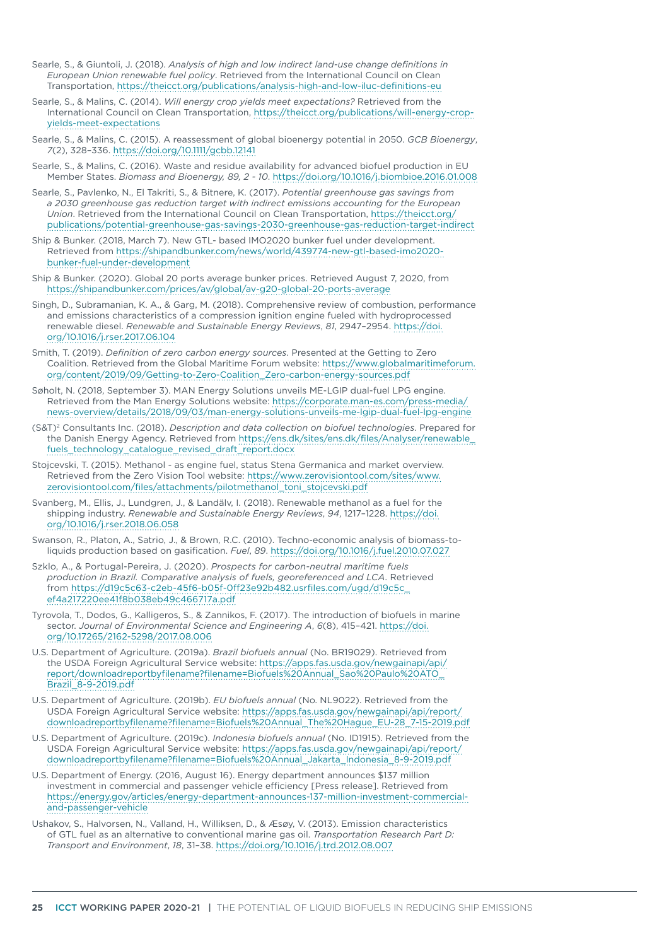- Searle, S., & Giuntoli, J. (2018). *Analysis of high and low indirect land-use change definitions in European Union renewable fuel policy*. Retrieved from the International Council on Clean Transportation,<https://theicct.org/publications/analysis-high-and-low-iluc-definitions-eu>
- Searle, S., & Malins, C. (2014). *Will energy crop yields meet expectations?* Retrieved from the International Council on Clean Transportation, [https://theicct.org/publications/will-energy-crop](https://theicct.org/publications/will-energy-crop-yields-meet-expectations)[yields-meet-expectations](https://theicct.org/publications/will-energy-crop-yields-meet-expectations)
- Searle, S., & Malins, C. (2015). A reassessment of global bioenergy potential in 2050. *GCB Bioenergy*, *7*(2), 328–336. <https://doi.org/10.1111/gcbb.12141>
- Searle, S., & Malins, C. (2016). Waste and residue availability for advanced biofuel production in EU Member States. *Biomass and Bioenergy, 89, 2 - 10*. <https://doi.org/10.1016/j.biombioe.2016.01.008>
- Searle, S., Pavlenko, N., El Takriti, S., & Bitnere, K. (2017). *Potential greenhouse gas savings from a 2030 greenhouse gas reduction target with indirect emissions accounting for the European Union*. Retrieved from the International Council on Clean Transportation, [https://theicct.org/](https://theicct.org/publications/potential-greenhouse-gas-savings-2030-greenhouse-gas-reduction-target-indirect) [publications/potential-greenhouse-gas-savings-2030-greenhouse-gas-reduction-target-indirect](https://theicct.org/publications/potential-greenhouse-gas-savings-2030-greenhouse-gas-reduction-target-indirect)
- Ship & Bunker. (2018, March 7). New GTL- based IMO2020 bunker fuel under development. Retrieved from [https://shipandbunker.com/news/world/439774-new-gtl-based-imo2020](https://shipandbunker.com/news/world/439774-new-gtl-based-imo2020-bunker-fuel-under-development) [bunker-fuel-under-development](https://shipandbunker.com/news/world/439774-new-gtl-based-imo2020-bunker-fuel-under-development)
- Ship & Bunker. (2020). Global 20 ports average bunker prices. Retrieved August 7, 2020, from <https://shipandbunker.com/prices/av/global/av-g20-global-20-ports-average>
- Singh, D., Subramanian, K. A., & Garg, M. (2018). Comprehensive review of combustion, performance and emissions characteristics of a compression ignition engine fueled with hydroprocessed renewable diesel. *Renewable and Sustainable Energy Reviews*, *81*, 2947–2954. [https://doi.](https://doi.org/10.1016/j.rser.2017.06.104) [org/10.1016/j.rser.2017.06.104](https://doi.org/10.1016/j.rser.2017.06.104)
- Smith, T. (2019). *Definition of zero carbon energy sources*. Presented at the Getting to Zero Coalition. Retrieved from the Global Maritime Forum website: [https://www.globalmaritimeforum.](https://www.globalmaritimeforum.org/content/2019/09/Getting-to-Zero-Coalition_Zero-carbon-energy-sources.pdf) [org/content/2019/09/Getting-to-Zero-Coalition\\_Zero-carbon-energy-sources.pdf](https://www.globalmaritimeforum.org/content/2019/09/Getting-to-Zero-Coalition_Zero-carbon-energy-sources.pdf)
- Søholt, N. (2018, September 3). MAN Energy Solutions unveils ME-LGIP dual-fuel LPG engine. Retrieved from the Man Energy Solutions website: [https://corporate.man-es.com/press-media/](https://corporate.man-es.com/press-media/news-overview/details/2018/09/03/man-energy-solutions-unveils-me-lgip-dual-fuel-lpg-engine) [news-overview/details/2018/09/03/man-energy-solutions-unveils-me-lgip-dual-fuel-lpg-engine](https://corporate.man-es.com/press-media/news-overview/details/2018/09/03/man-energy-solutions-unveils-me-lgip-dual-fuel-lpg-engine)
- (S&T)2 Consultants Inc. (2018). *Description and data collection on biofuel technologies*. Prepared for the Danish Energy Agency. Retrieved from [https://ens.dk/sites/ens.dk/files/Analyser/renewable\\_](https://ens.dk/sites/ens.dk/files/Analyser/renewable_fuels_technology_catalogue_revised_draft_report.docx) [fuels\\_technology\\_catalogue\\_revised\\_draft\\_report.docx](https://ens.dk/sites/ens.dk/files/Analyser/renewable_fuels_technology_catalogue_revised_draft_report.docx)
- Stojcevski, T. (2015). Methanol as engine fuel, status Stena Germanica and market overview. Retrieved from the Zero Vision Tool website: [https://www.zerovisiontool.com/sites/www.](https://www.zerovisiontool.com/sites/www.zerovisiontool.com/files/attachments/pilotmethanol_toni_stojcevski.pdf) [zerovisiontool.com/files/attachments/pilotmethanol\\_toni\\_stojcevski.pdf](https://www.zerovisiontool.com/sites/www.zerovisiontool.com/files/attachments/pilotmethanol_toni_stojcevski.pdf)
- Svanberg, M., Ellis, J., Lundgren, J., & Landälv, I. (2018). Renewable methanol as a fuel for the shipping industry. *Renewable and Sustainable Energy Reviews*, *94*, 1217–1228. [https://doi.](https://doi.org/10.1016/j.rser.2018.06.058) [org/10.1016/j.rser.2018.06.058](https://doi.org/10.1016/j.rser.2018.06.058)
- Swanson, R., Platon, A., Satrio, J., & Brown, R.C. (2010). Techno-economic analysis of biomass-toliquids production based on gasification. *Fuel*, *89*. <https://doi.org/10.1016/j.fuel.2010.07.027>
- Szklo, A., & Portugal-Pereira, J. (2020). *Prospects for carbon-neutral maritime fuels production in Brazil. Comparative analysis of fuels, georeferenced and LCA*. Retrieved from [https://d19c5c63-c2eb-45f6-b05f-0ff23e92b482.usrfiles.com/ugd/d19c5c\\_](https://d19c5c63-c2eb-45f6-b05f-0ff23e92b482.usrfiles.com/ugd/d19c5c_ef4a217220ee41f8b038eb49c466717a.pdf) [ef4a217220ee41f8b038eb49c466717a.pdf](https://d19c5c63-c2eb-45f6-b05f-0ff23e92b482.usrfiles.com/ugd/d19c5c_ef4a217220ee41f8b038eb49c466717a.pdf)
- Tyrovola, T., Dodos, G., Kalligeros, S., & Zannikos, F. (2017). The introduction of biofuels in marine sector. *Journal of Environmental Science and Engineering A*, *6*(8), 415–421. [https://doi.](https://doi.org/10.17265/2162-5298/2017.08.006) [org/10.17265/2162-5298/2017.08.006](https://doi.org/10.17265/2162-5298/2017.08.006)
- U.S. Department of Agriculture. (2019a). *Brazil biofuels annual* (No. BR19029). Retrieved from the USDA Foreign Agricultural Service website: [https://apps.fas.usda.gov/newgainapi/api/](https://apps.fas.usda.gov/newgainapi/api/report/downloadreportbyfilename?filename=Biofuels%20Annual_Sao%20Paulo%20ATO_Brazil_8-9-2019.pdf) [report/downloadreportbyfilename?filename=Biofuels%20Annual\\_Sao%20Paulo%20ATO\\_](https://apps.fas.usda.gov/newgainapi/api/report/downloadreportbyfilename?filename=Biofuels%20Annual_Sao%20Paulo%20ATO_Brazil_8-9-2019.pdf) [Brazil\\_8-9-2019.pdf](https://apps.fas.usda.gov/newgainapi/api/report/downloadreportbyfilename?filename=Biofuels%20Annual_Sao%20Paulo%20ATO_Brazil_8-9-2019.pdf)
- U.S. Department of Agriculture. (2019b). *EU biofuels annual* (No. NL9022). Retrieved from the USDA Foreign Agricultural Service website: [https://apps.fas.usda.gov/newgainapi/api/report/](https://apps.fas.usda.gov/newgainapi/api/report/downloadreportbyfilename?filename=Biofuels%20Annual_The%20Hague_EU-28_7-15-2019.pdf) [downloadreportbyfilename?filename=Biofuels%20Annual\\_The%20Hague\\_EU-28\\_7-15-2019.pdf](https://apps.fas.usda.gov/newgainapi/api/report/downloadreportbyfilename?filename=Biofuels%20Annual_The%20Hague_EU-28_7-15-2019.pdf)
- U.S. Department of Agriculture. (2019c). *Indonesia biofuels annual* (No. ID1915). Retrieved from the USDA Foreign Agricultural Service website: [https://apps.fas.usda.gov/newgainapi/api/report/](https://apps.fas.usda.gov/newgainapi/api/report/downloadreportbyfilename?filename=Biofuels%20Annual_Jakarta_Indonesia_8-9-2019.pdf) [downloadreportbyfilename?filename=Biofuels%20Annual\\_Jakarta\\_Indonesia\\_8-9-2019.pdf](https://apps.fas.usda.gov/newgainapi/api/report/downloadreportbyfilename?filename=Biofuels%20Annual_Jakarta_Indonesia_8-9-2019.pdf)
- U.S. Department of Energy. (2016, August 16). Energy department announces \$137 million investment in commercial and passenger vehicle efficiency [Press release]. Retrieved from [https://energy.gov/articles/energy-department-announces-137-million-investment-commercial](https://energy.gov/articles/energy-department-announces-137-million-investment-commercial-and-passenger-vehicle)[and-passenger-vehicle](https://energy.gov/articles/energy-department-announces-137-million-investment-commercial-and-passenger-vehicle)
- Ushakov, S., Halvorsen, N., Valland, H., Williksen, D., & Æsøy, V. (2013). Emission characteristics of GTL fuel as an alternative to conventional marine gas oil. *Transportation Research Part D: Transport and Environment*, *18*, 31–38.<https://doi.org/10.1016/j.trd.2012.08.007>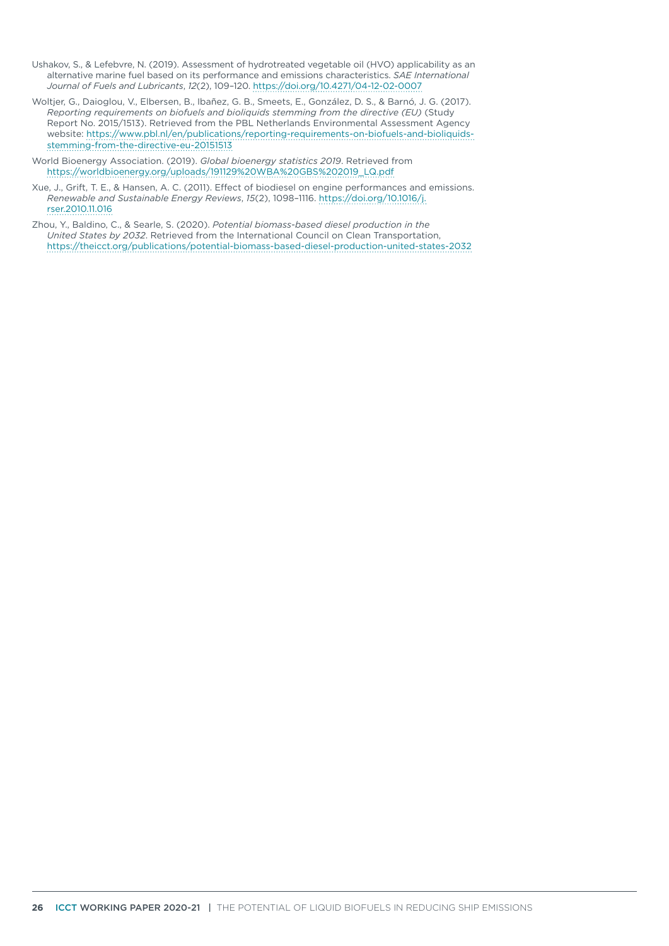- Ushakov, S., & Lefebvre, N. (2019). Assessment of hydrotreated vegetable oil (HVO) applicability as an alternative marine fuel based on its performance and emissions characteristics. *SAE International Journal of Fuels and Lubricants*, *12*(2), 109–120.<https://doi.org/10.4271/04-12-02-0007>
- Woltjer, G., Daioglou, V., Elbersen, B., Ibañez, G. B., Smeets, E., González, D. S., & Barnó, J. G. (2017). *Reporting requirements on biofuels and bioliquids stemming from the directive (EU)* (Study Report No. 2015/1513). Retrieved from the PBL Netherlands Environmental Assessment Agency website: [https://www.pbl.nl/en/publications/reporting-requirements-on-biofuels-and-bioliquids](https://www.pbl.nl/en/publications/reporting-requirements-on-biofuels-and-bioliquids-stemming-from-the-directive-eu-20151513)[stemming-from-the-directive-eu-20151513](https://www.pbl.nl/en/publications/reporting-requirements-on-biofuels-and-bioliquids-stemming-from-the-directive-eu-20151513)

World Bioenergy Association. (2019). *Global bioenergy statistics 2019*. Retrieved from [https://worldbioenergy.org/uploads/191129%20WBA%20GBS%202019\\_LQ.pdf](https://worldbioenergy.org/uploads/191129%20WBA%20GBS%202019_LQ.pdf)

Xue, J., Grift, T. E., & Hansen, A. C. (2011). Effect of biodiesel on engine performances and emissions. *Renewable and Sustainable Energy Reviews*, *15*(2), 1098–1116. [https://doi.org/10.1016/j.](https://doi.org/10.1016/j.rser.2010.11.016) [rser.2010.11.016](https://doi.org/10.1016/j.rser.2010.11.016)

Zhou, Y., Baldino, C., & Searle, S. (2020). *Potential biomass-based diesel production in the United States by 2032*. Retrieved from the International Council on Clean Transportation, <https://theicct.org/publications/potential-biomass-based-diesel-production-united-states-2032>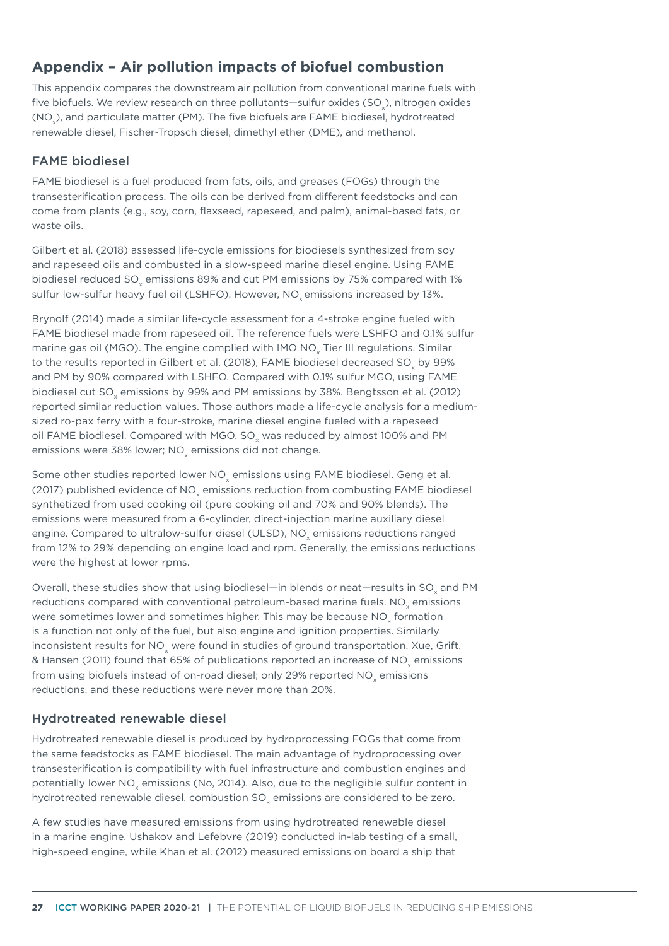# **Appendix – Air pollution impacts of biofuel combustion**

This appendix compares the downstream air pollution from conventional marine fuels with five biofuels. We review research on three pollutants—sulfur oxides (SO<sub>x</sub>), nitrogen oxides (NO<sub>x</sub>), and particulate matter (PM). The five biofuels are FAME biodiesel, hydrotreated renewable diesel, Fischer-Tropsch diesel, dimethyl ether (DME), and methanol.

#### FAME biodiesel

FAME biodiesel is a fuel produced from fats, oils, and greases (FOGs) through the transesterification process. The oils can be derived from different feedstocks and can come from plants (e.g., soy, corn, flaxseed, rapeseed, and palm), animal-based fats, or waste oils.

Gilbert et al. (2018) assessed life-cycle emissions for biodiesels synthesized from soy and rapeseed oils and combusted in a slow-speed marine diesel engine. Using FAME biodiesel reduced SO<sub>x</sub> emissions 89% and cut PM emissions by 75% compared with 1% sulfur low-sulfur heavy fuel oil (LSHFO). However, NO<sub>v</sub> emissions increased by 13%.

Brynolf (2014) made a similar life-cycle assessment for a 4-stroke engine fueled with FAME biodiesel made from rapeseed oil. The reference fuels were LSHFO and 0.1% sulfur marine gas oil (MGO). The engine complied with IMO NO<sub>v</sub> Tier III regulations. Similar to the results reported in Gilbert et al. (2018), FAME biodiesel decreased SO<sub>v</sub> by 99% and PM by 90% compared with LSHFO. Compared with 0.1% sulfur MGO, using FAME biodiesel cut SO emissions by 99% and PM emissions by 38%. Bengtsson et al. (2012) reported similar reduction values. Those authors made a life-cycle analysis for a mediumsized ro-pax ferry with a four-stroke, marine diesel engine fueled with a rapeseed oil FAME biodiesel. Compared with MGO, SO<sub>y</sub> was reduced by almost 100% and PM emissions were 38% lower; NO<sub>v</sub> emissions did not change.

Some other studies reported lower NO<sub>v</sub> emissions using FAME biodiesel. Geng et al. (2017) published evidence of NO<sub>v</sub> emissions reduction from combusting FAME biodiesel synthetized from used cooking oil (pure cooking oil and 70% and 90% blends). The emissions were measured from a 6-cylinder, direct-injection marine auxiliary diesel engine. Compared to ultralow-sulfur diesel (ULSD), NO<sub>v</sub> emissions reductions ranged from 12% to 29% depending on engine load and rpm. Generally, the emissions reductions were the highest at lower rpms.

Overall, these studies show that using biodiesel—in blends or neat—results in SO<sub>v</sub> and PM reductions compared with conventional petroleum-based marine fuels. NO<sub>v</sub> emissions were sometimes lower and sometimes higher. This may be because NO<sub>y</sub> formation is a function not only of the fuel, but also engine and ignition properties. Similarly inconsistent results for NO<sub>x</sub> were found in studies of ground transportation. Xue, Grift, & Hansen (2011) found that 65% of publications reported an increase of NO<sub>v</sub> emissions from using biofuels instead of on-road diesel; only 29% reported NO<sub>v</sub> emissions reductions, and these reductions were never more than 20%.

#### Hydrotreated renewable diesel

Hydrotreated renewable diesel is produced by hydroprocessing FOGs that come from the same feedstocks as FAME biodiesel. The main advantage of hydroprocessing over transesterification is compatibility with fuel infrastructure and combustion engines and potentially lower NO<sub>v</sub> emissions (No, 2014). Also, due to the negligible sulfur content in hydrotreated renewable diesel, combustion SO<sub>v</sub> emissions are considered to be zero.

A few studies have measured emissions from using hydrotreated renewable diesel in a marine engine. Ushakov and Lefebvre (2019) conducted in-lab testing of a small, high-speed engine, while Khan et al. (2012) measured emissions on board a ship that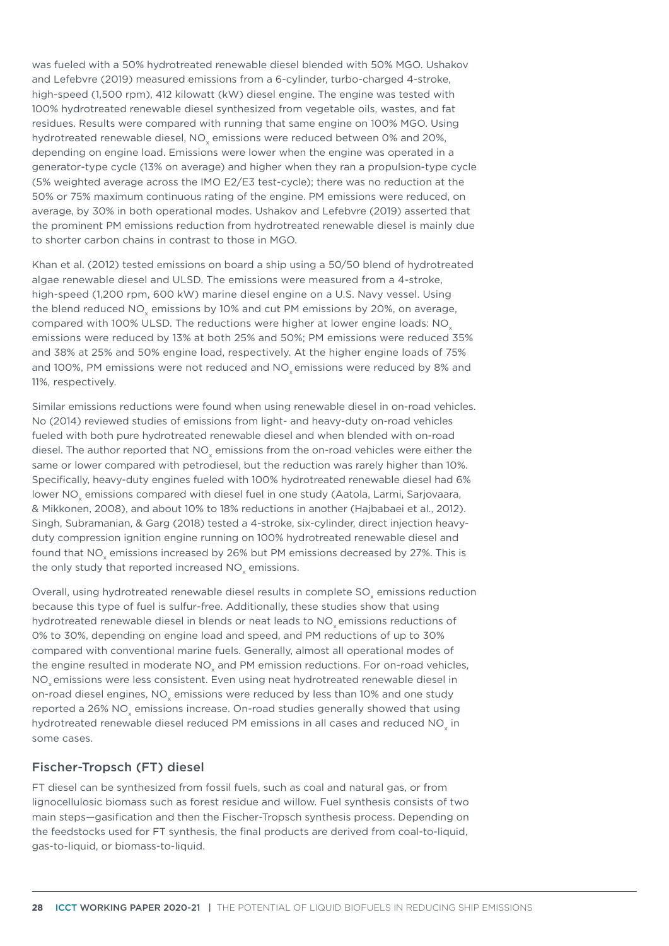was fueled with a 50% hydrotreated renewable diesel blended with 50% MGO. Ushakov and Lefebvre (2019) measured emissions from a 6-cylinder, turbo-charged 4-stroke, high-speed (1,500 rpm), 412 kilowatt (kW) diesel engine. The engine was tested with 100% hydrotreated renewable diesel synthesized from vegetable oils, wastes, and fat residues. Results were compared with running that same engine on 100% MGO. Using hydrotreated renewable diesel, NO<sub>v</sub> emissions were reduced between 0% and 20%, depending on engine load. Emissions were lower when the engine was operated in a generator-type cycle (13% on average) and higher when they ran a propulsion-type cycle (5% weighted average across the IMO E2/E3 test-cycle); there was no reduction at the 50% or 75% maximum continuous rating of the engine. PM emissions were reduced, on average, by 30% in both operational modes. Ushakov and Lefebvre (2019) asserted that the prominent PM emissions reduction from hydrotreated renewable diesel is mainly due to shorter carbon chains in contrast to those in MGO.

Khan et al. (2012) tested emissions on board a ship using a 50/50 blend of hydrotreated algae renewable diesel and ULSD. The emissions were measured from a 4-stroke, high-speed (1,200 rpm, 600 kW) marine diesel engine on a U.S. Navy vessel. Using the blend reduced NO<sub>x</sub> emissions by 10% and cut PM emissions by 20%, on average, compared with 100% ULSD. The reductions were higher at lower engine loads: NO<sub>y</sub> emissions were reduced by 13% at both 25% and 50%; PM emissions were reduced 35% and 38% at 25% and 50% engine load, respectively. At the higher engine loads of 75% and 100%, PM emissions were not reduced and NO<sub>v</sub> emissions were reduced by 8% and 11%, respectively.

Similar emissions reductions were found when using renewable diesel in on-road vehicles. No (2014) reviewed studies of emissions from light- and heavy-duty on-road vehicles fueled with both pure hydrotreated renewable diesel and when blended with on-road diesel. The author reported that NO $_{\sf x}$  emissions from the on-road vehicles were either the same or lower compared with petrodiesel, but the reduction was rarely higher than 10%. Specifically, heavy-duty engines fueled with 100% hydrotreated renewable diesel had 6% lower NO $_{\sf x}$  emissions compared with diesel fuel in one study (Aatola, Larmi, Sarjovaara, & Mikkonen, 2008), and about 10% to 18% reductions in another (Hajbabaei et al., 2012). Singh, Subramanian, & Garg (2018) tested a 4-stroke, six-cylinder, direct injection heavyduty compression ignition engine running on 100% hydrotreated renewable diesel and found that NO<sub>x</sub> emissions increased by 26% but PM emissions decreased by 27%. This is the only study that reported increased NO $_{\mathrm{\mathsf{x}}}$  emissions.

Overall, using hydrotreated renewable diesel results in complete SO<sub>v</sub> emissions reduction because this type of fuel is sulfur-free. Additionally, these studies show that using hydrotreated renewable diesel in blends or neat leads to NO<sub>v</sub> emissions reductions of 0% to 30%, depending on engine load and speed, and PM reductions of up to 30% compared with conventional marine fuels. Generally, almost all operational modes of the engine resulted in moderate NO<sub>x</sub> and PM emission reductions. For on-road vehicles, NO<sub>v</sub> emissions were less consistent. Even using neat hydrotreated renewable diesel in on-road diesel engines, NO<sub>x</sub> emissions were reduced by less than 10% and one study reported a 26% NO<sub>v</sub> emissions increase. On-road studies generally showed that using hydrotreated renewable diesel reduced PM emissions in all cases and reduced NO<sub>v</sub> in some cases.

#### Fischer-Tropsch (FT) diesel

FT diesel can be synthesized from fossil fuels, such as coal and natural gas, or from lignocellulosic biomass such as forest residue and willow. Fuel synthesis consists of two main steps—gasification and then the Fischer-Tropsch synthesis process. Depending on the feedstocks used for FT synthesis, the final products are derived from coal-to-liquid, gas-to-liquid, or biomass-to-liquid.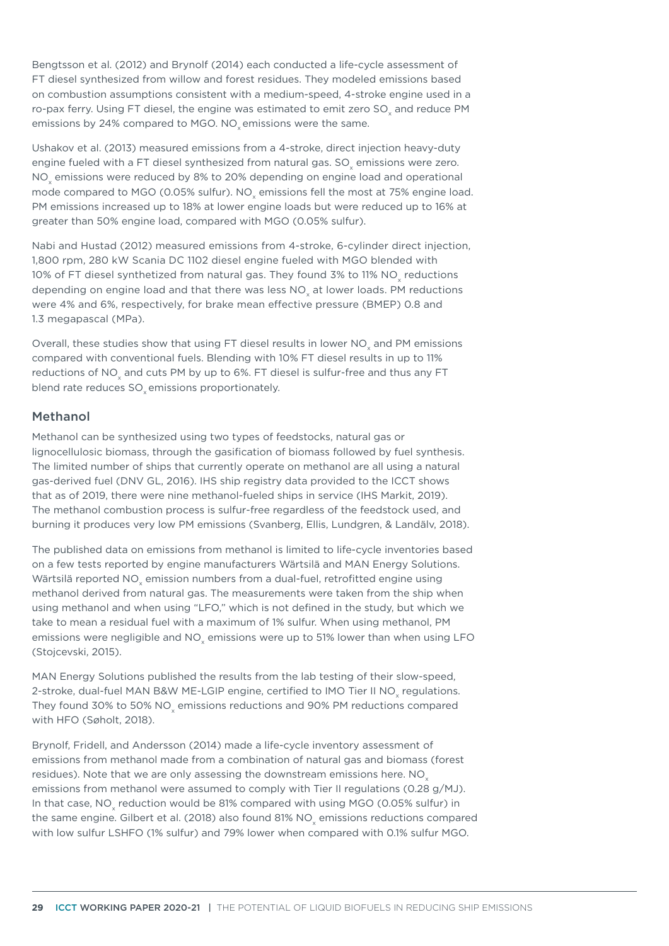Bengtsson et al. (2012) and Brynolf (2014) each conducted a life-cycle assessment of FT diesel synthesized from willow and forest residues. They modeled emissions based on combustion assumptions consistent with a medium-speed, 4-stroke engine used in a ro-pax ferry. Using FT diesel, the engine was estimated to emit zero SO, and reduce PM emissions by 24% compared to MGO. NO<sub>v</sub> emissions were the same.

Ushakov et al. (2013) measured emissions from a 4-stroke, direct injection heavy-duty engine fueled with a FT diesel synthesized from natural gas. SO<sub>v</sub> emissions were zero. NO<sub>y</sub> emissions were reduced by 8% to 20% depending on engine load and operational mode compared to MGO (0.05% sulfur). NO<sub>v</sub> emissions fell the most at 75% engine load. PM emissions increased up to 18% at lower engine loads but were reduced up to 16% at greater than 50% engine load, compared with MGO (0.05% sulfur).

Nabi and Hustad (2012) measured emissions from 4-stroke, 6-cylinder direct injection, 1,800 rpm, 280 kW Scania DC 1102 diesel engine fueled with MGO blended with 10% of FT diesel synthetized from natural gas. They found 3% to 11% NO<sub>v</sub> reductions depending on engine load and that there was less NO<sub>v</sub> at lower loads. PM reductions were 4% and 6%, respectively, for brake mean effective pressure (BMEP) 0.8 and 1.3 megapascal (MPa).

Overall, these studies show that using FT diesel results in lower NO<sub>v</sub> and PM emissions compared with conventional fuels. Blending with 10% FT diesel results in up to 11% reductions of NO<sub>v</sub> and cuts PM by up to 6%. FT diesel is sulfur-free and thus any FT blend rate reduces SO<sub>v</sub> emissions proportionately.

#### Methanol

Methanol can be synthesized using two types of feedstocks, natural gas or lignocellulosic biomass, through the gasification of biomass followed by fuel synthesis. The limited number of ships that currently operate on methanol are all using a natural gas-derived fuel (DNV GL, 2016). IHS ship registry data provided to the ICCT shows that as of 2019, there were nine methanol-fueled ships in service (IHS Markit, 2019). The methanol combustion process is sulfur-free regardless of the feedstock used, and burning it produces very low PM emissions (Svanberg, Ellis, Lundgren, & Landälv, 2018).

The published data on emissions from methanol is limited to life-cycle inventories based on a few tests reported by engine manufacturers Wärtsilä and MAN Energy Solutions. Wärtsilä reported NO<sub>y</sub> emission numbers from a dual-fuel, retrofitted engine using methanol derived from natural gas. The measurements were taken from the ship when using methanol and when using "LFO," which is not defined in the study, but which we take to mean a residual fuel with a maximum of 1% sulfur. When using methanol, PM emissions were negligible and  $NO<sub>x</sub>$  emissions were up to 51% lower than when using LFO (Stojcevski, 2015).

MAN Energy Solutions published the results from the lab testing of their slow-speed, 2-stroke, dual-fuel MAN B&W ME-LGIP engine, certified to IMO Tier II NO<sub>v</sub> regulations. They found 30% to 50% NO<sub>v</sub> emissions reductions and 90% PM reductions compared with HFO (Søholt, 2018).

Brynolf, Fridell, and Andersson (2014) made a life-cycle inventory assessment of emissions from methanol made from a combination of natural gas and biomass (forest residues). Note that we are only assessing the downstream emissions here. NO<sub>x</sub> emissions from methanol were assumed to comply with Tier II regulations (0.28 g/MJ). In that case, NO<sub>x</sub> reduction would be 81% compared with using MGO (0.05% sulfur) in the same engine. Gilbert et al. (2018) also found 81% NO<sub>v</sub> emissions reductions compared with low sulfur LSHFO (1% sulfur) and 79% lower when compared with 0.1% sulfur MGO.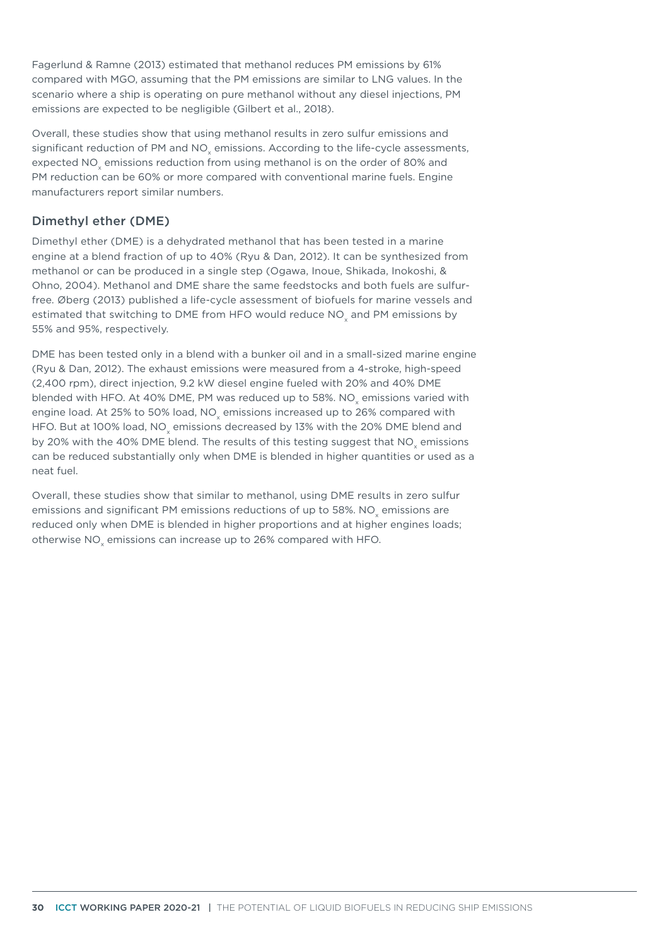Fagerlund & Ramne (2013) estimated that methanol reduces PM emissions by 61% compared with MGO, assuming that the PM emissions are similar to LNG values. In the scenario where a ship is operating on pure methanol without any diesel injections, PM emissions are expected to be negligible (Gilbert et al., 2018).

Overall, these studies show that using methanol results in zero sulfur emissions and significant reduction of PM and NO<sub>x</sub> emissions. According to the life-cycle assessments, expected NO<sub>x</sub> emissions reduction from using methanol is on the order of 80% and PM reduction can be 60% or more compared with conventional marine fuels. Engine manufacturers report similar numbers.

#### Dimethyl ether (DME)

Dimethyl ether (DME) is a dehydrated methanol that has been tested in a marine engine at a blend fraction of up to 40% (Ryu & Dan, 2012). It can be synthesized from methanol or can be produced in a single step (Ogawa, Inoue, Shikada, Inokoshi, & Ohno, 2004). Methanol and DME share the same feedstocks and both fuels are sulfurfree. Øberg (2013) published a life-cycle assessment of biofuels for marine vessels and estimated that switching to DME from HFO would reduce NO, and PM emissions by 55% and 95%, respectively.

DME has been tested only in a blend with a bunker oil and in a small-sized marine engine (Ryu & Dan, 2012). The exhaust emissions were measured from a 4-stroke, high-speed (2,400 rpm), direct injection, 9.2 kW diesel engine fueled with 20% and 40% DME blended with HFO. At 40% DME, PM was reduced up to 58%. NO<sub>v</sub> emissions varied with engine load. At 25% to 50% load, NO<sub>v</sub> emissions increased up to 26% compared with HFO. But at 100% load, NO<sub>v</sub> emissions decreased by 13% with the 20% DME blend and by 20% with the 40% DME blend. The results of this testing suggest that NO<sub>v</sub> emissions can be reduced substantially only when DME is blended in higher quantities or used as a neat fuel.

Overall, these studies show that similar to methanol, using DME results in zero sulfur emissions and significant PM emissions reductions of up to 58%. NO<sub>v</sub> emissions are reduced only when DME is blended in higher proportions and at higher engines loads; otherwise NO<sub>y</sub> emissions can increase up to 26% compared with HFO.